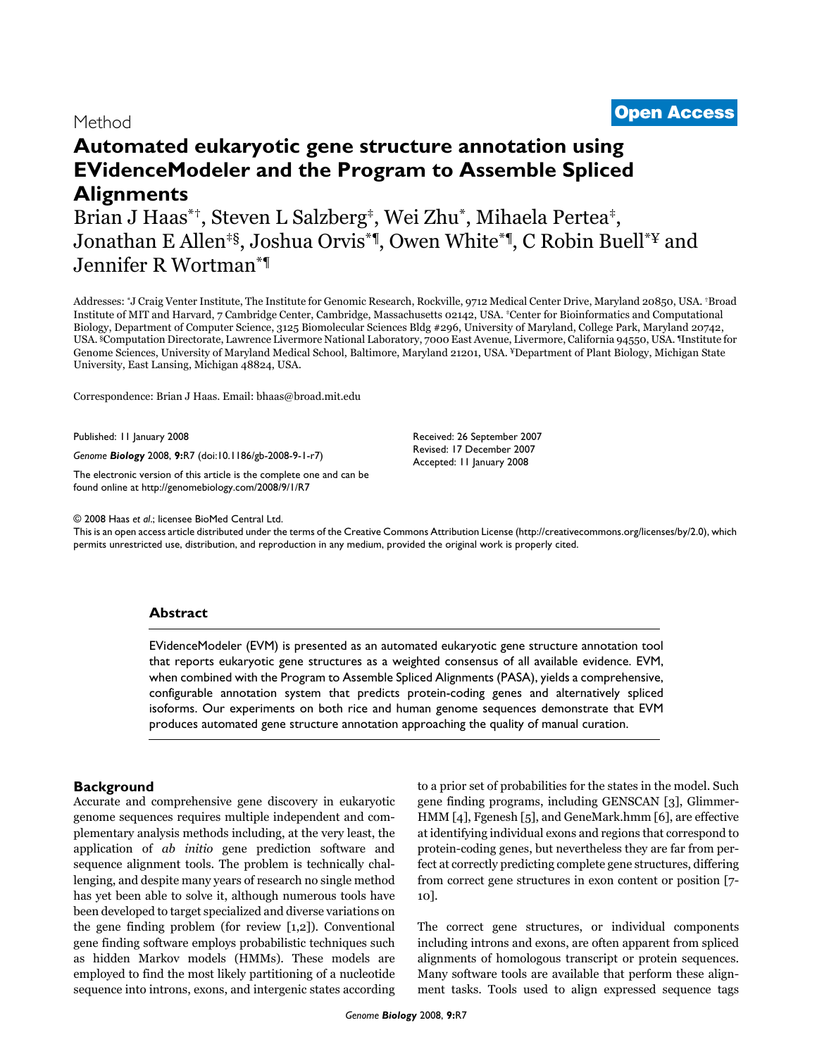# <sup>2008</sup> Haas et al.Volume 9, Issue 1, Article R7 **[Open Access](http://www.biomedcentral.com/info/about/charter/)** Method

## **Automated eukaryotic gene structure annotation using EVidenceModeler and the Program to Assemble Spliced Alignments**

Brian J Haas\*†, Steven L Salzberg‡, Wei Zhu\*, Mihaela Pertea‡, Jonathan E Allen‡§, Joshua Orvis\*¶, Owen White\*¶, C Robin Buell\*¥ and Jennifer R Wortman\*¶

Addresses: \*J Craig Venter Institute, The Institute for Genomic Research, Rockville, 9712 Medical Center Drive, Maryland 20850, USA. †Broad Institute of MIT and Harvard, 7 Cambridge Center, Cambridge, Massachusetts 02142, USA. ‡Center for Bioinformatics and Computational Biology, Department of Computer Science, 3125 Biomolecular Sciences Bldg #296, University of Maryland, College Park, Maryland 20742, USA. §Computation Directorate, Lawrence Livermore National Laboratory, 7000 East Avenue, Livermore, California 94550, USA. ¶Institute for Genome Sciences, University of Maryland Medical School, Baltimore, Maryland 21201, USA. ¥Department of Plant Biology, Michigan State University, East Lansing, Michigan 48824, USA.

> Received: 26 September 2007 Revised: 17 December 2007 Accepted: 11 January 2008

Correspondence: Brian J Haas. Email: bhaas@broad.mit.ed[u](http://www.ncbi.nlm.nih.gov/entrez/query.fcgi?cmd=Retrieve&db=PubMed&dopt=Abstract&list_uids=18190707)

Published: 11 January 2008

*Genome Biology* 2008, **9:**R7 (doi:10.1186/gb-2008-9-1-r7)

[The electronic version of this article is the complete one and can be](http://genomebiology.com/2008/9/1/R7)  found online at http://genomebiology.com/2008/9/1/R7

© 2008 Haas *et al*.; licensee BioMed Central Ltd.

[This is an open access article distributed under the terms of the Creative Commons Attribution License \(http://creativecommons.org/licenses/by/2.0\), which](http://creativecommons.org/licenses/by/2.0)  permits unrestricted use, distribution, and reproduction in any medium, provided the original work is properly cited.

## **Abstract**

EVidenceModeler (EVM) is presented as an automated eukaryotic gene structure annotation tool that reports eukaryotic gene structures as a weighted consensus of all available evidence. EVM, when combined with the Program to Assemble Spliced Alignments (PASA), yields a comprehensive, configurable annotation system that predicts protein-coding genes and alternatively spliced isoforms. Our experiments on both rice and human genome sequences demonstrate that EVM produces automated gene structure annotation approaching the quality of manual curation.

## **Background**

Accurate and comprehensive gene discovery in eukaryotic genome sequences requires multiple independent and complementary analysis methods including, at the very least, the application of *ab initio* gene prediction software and sequence alignment tools. The problem is technically challenging, and despite many years of research no single method has yet been able to solve it, although numerous tools have been developed to target specialized and diverse variations on the gene finding problem (for review [1,2]). Conventional gene finding software employs probabilistic techniques such as hidden Markov models (HMMs). These models are employed to find the most likely partitioning of a nucleotide sequence into introns, exons, and intergenic states according to a prior set of probabilities for the states in the model. Such gene finding programs, including GENSCAN [3], Glimmer-HMM [4], Fgenesh [5], and GeneMark.hmm [6], are effective at identifying individual exons and regions that correspond to protein-coding genes, but nevertheless they are far from perfect at correctly predicting complete gene structures, differing from correct gene structures in exon content or position [7- 10].

The correct gene structures, or individual components including introns and exons, are often apparent from spliced alignments of homologous transcript or protein sequences. Many software tools are available that perform these alignment tasks. Tools used to align expressed sequence tags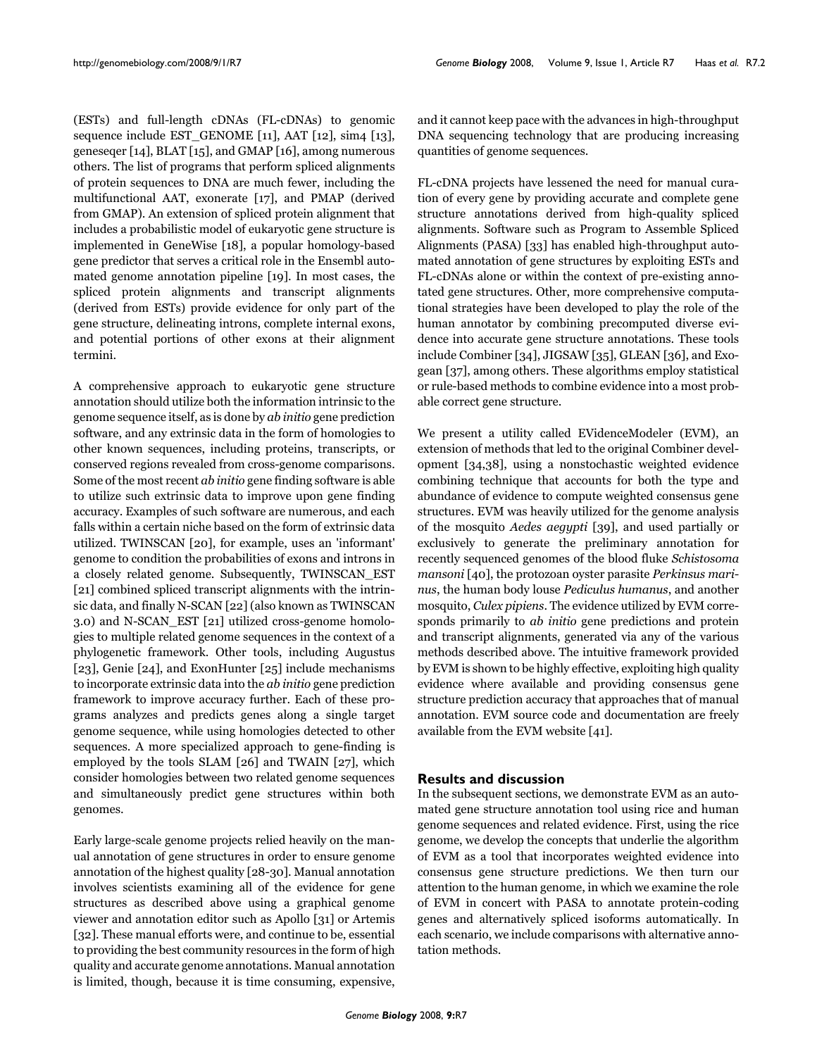(ESTs) and full-length cDNAs (FL-cDNAs) to genomic sequence include EST\_GENOME [11], AAT [12], sim4 [13], geneseqer [14], BLAT [15], and GMAP [16], among numerous others. The list of programs that perform spliced alignments of protein sequences to DNA are much fewer, including the multifunctional AAT, exonerate [17], and PMAP (derived from GMAP). An extension of spliced protein alignment that includes a probabilistic model of eukaryotic gene structure is implemented in GeneWise [18], a popular homology-based gene predictor that serves a critical role in the Ensembl automated genome annotation pipeline [19]. In most cases, the spliced protein alignments and transcript alignments (derived from ESTs) provide evidence for only part of the gene structure, delineating introns, complete internal exons, and potential portions of other exons at their alignment termini.

A comprehensive approach to eukaryotic gene structure annotation should utilize both the information intrinsic to the genome sequence itself, as is done by *ab initio* gene prediction software, and any extrinsic data in the form of homologies to other known sequences, including proteins, transcripts, or conserved regions revealed from cross-genome comparisons. Some of the most recent *ab initio* gene finding software is able to utilize such extrinsic data to improve upon gene finding accuracy. Examples of such software are numerous, and each falls within a certain niche based on the form of extrinsic data utilized. TWINSCAN [20], for example, uses an 'informant' genome to condition the probabilities of exons and introns in a closely related genome. Subsequently, TWINSCAN\_EST [21] combined spliced transcript alignments with the intrinsic data, and finally N-SCAN [22] (also known as TWINSCAN 3.0) and N-SCAN\_EST [21] utilized cross-genome homologies to multiple related genome sequences in the context of a phylogenetic framework. Other tools, including Augustus [23], Genie [24], and ExonHunter [25] include mechanisms to incorporate extrinsic data into the *ab initio* gene prediction framework to improve accuracy further. Each of these programs analyzes and predicts genes along a single target genome sequence, while using homologies detected to other sequences. A more specialized approach to gene-finding is employed by the tools SLAM [26] and TWAIN [27], which consider homologies between two related genome sequences and simultaneously predict gene structures within both genomes.

Early large-scale genome projects relied heavily on the manual annotation of gene structures in order to ensure genome annotation of the highest quality [28-30]. Manual annotation involves scientists examining all of the evidence for gene structures as described above using a graphical genome viewer and annotation editor such as Apollo [31] or Artemis [32]. These manual efforts were, and continue to be, essential to providing the best community resources in the form of high quality and accurate genome annotations. Manual annotation is limited, though, because it is time consuming, expensive,

and it cannot keep pace with the advances in high-throughput DNA sequencing technology that are producing increasing quantities of genome sequences.

FL-cDNA projects have lessened the need for manual curation of every gene by providing accurate and complete gene structure annotations derived from high-quality spliced alignments. Software such as Program to Assemble Spliced Alignments (PASA) [33] has enabled high-throughput automated annotation of gene structures by exploiting ESTs and FL-cDNAs alone or within the context of pre-existing annotated gene structures. Other, more comprehensive computational strategies have been developed to play the role of the human annotator by combining precomputed diverse evidence into accurate gene structure annotations. These tools include Combiner [34], JIGSAW [35], GLEAN [36], and Exogean [37], among others. These algorithms employ statistical or rule-based methods to combine evidence into a most probable correct gene structure.

We present a utility called EVidenceModeler (EVM), an extension of methods that led to the original Combiner development [34,38], using a nonstochastic weighted evidence combining technique that accounts for both the type and abundance of evidence to compute weighted consensus gene structures. EVM was heavily utilized for the genome analysis of the mosquito *Aedes aegypti* [39], and used partially or exclusively to generate the preliminary annotation for recently sequenced genomes of the blood fluke *Schistosoma mansoni* [40], the protozoan oyster parasite *Perkinsus marinus*, the human body louse *Pediculus humanus*, and another mosquito, *Culex pipiens*. The evidence utilized by EVM corresponds primarily to *ab initio* gene predictions and protein and transcript alignments, generated via any of the various methods described above. The intuitive framework provided by EVM is shown to be highly effective, exploiting high quality evidence where available and providing consensus gene structure prediction accuracy that approaches that of manual annotation. EVM source code and documentation are freely available from the EVM website [41].

## **Results and discussion**

In the subsequent sections, we demonstrate EVM as an automated gene structure annotation tool using rice and human genome sequences and related evidence. First, using the rice genome, we develop the concepts that underlie the algorithm of EVM as a tool that incorporates weighted evidence into consensus gene structure predictions. We then turn our attention to the human genome, in which we examine the role of EVM in concert with PASA to annotate protein-coding genes and alternatively spliced isoforms automatically. In each scenario, we include comparisons with alternative annotation methods.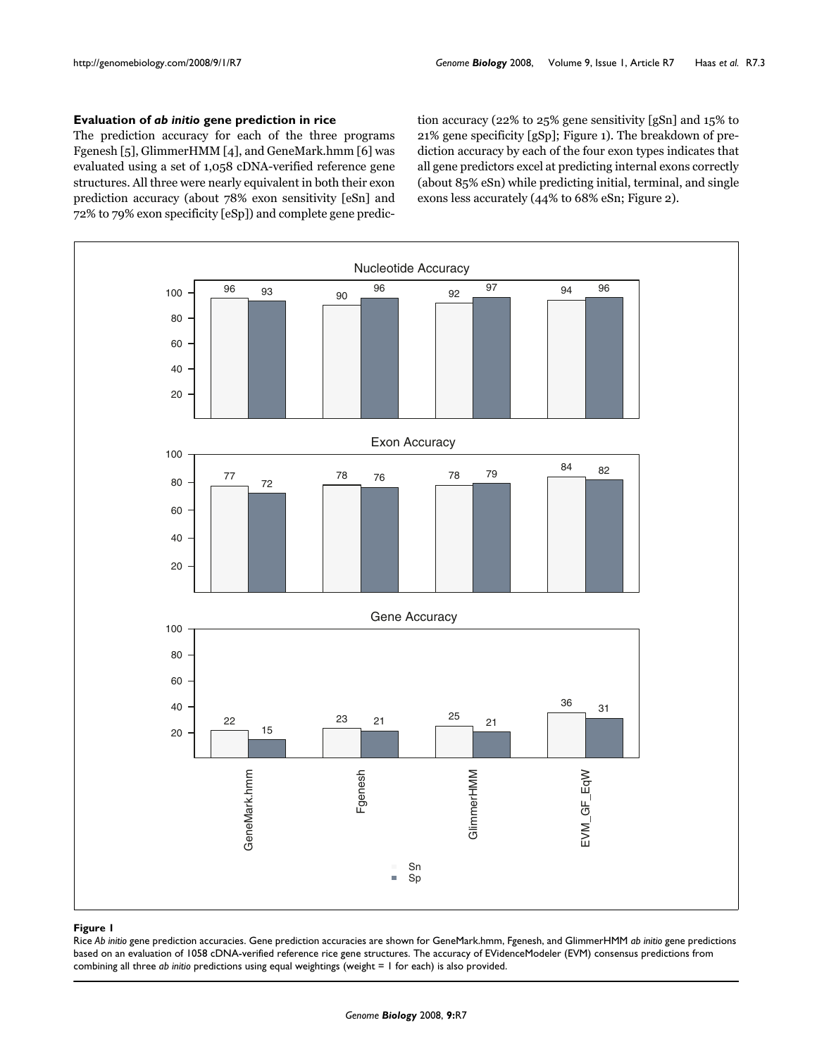## **Evaluation of** *ab initio* **gene prediction in rice**

The prediction accuracy for each of the three programs Fgenesh [5], GlimmerHMM [4], and GeneMark.hmm [6] was evaluated using a set of 1,058 cDNA-verified reference gene structures. All three were nearly equivalent in both their exon prediction accuracy (about 78% exon sensitivity [eSn] and 72% to 79% exon specificity [eSp]) and complete gene prediction accuracy (22% to 25% gene sensitivity [gSn] and 15% to 21% gene specificity [gSp]; Figure 1). The breakdown of prediction accuracy by each of the four exon types indicates that all gene predictors excel at predicting internal exons correctly (about 85% eSn) while predicting initial, terminal, and single exons less accurately (44% to 68% eSn; Figure [2](#page-3-0)).



#### **Figure 1**

Rice *Ab initio* gene prediction accuracies. Gene prediction accuracies are shown for GeneMark.hmm, Fgenesh, and GlimmerHMM *ab initio* gene predictions based on an evaluation of 1058 cDNA-verified reference rice gene structures. The accuracy of EVidenceModeler (EVM) consensus predictions from combining all three *ab initio* predictions using equal weightings (weight = 1 for each) is also provided.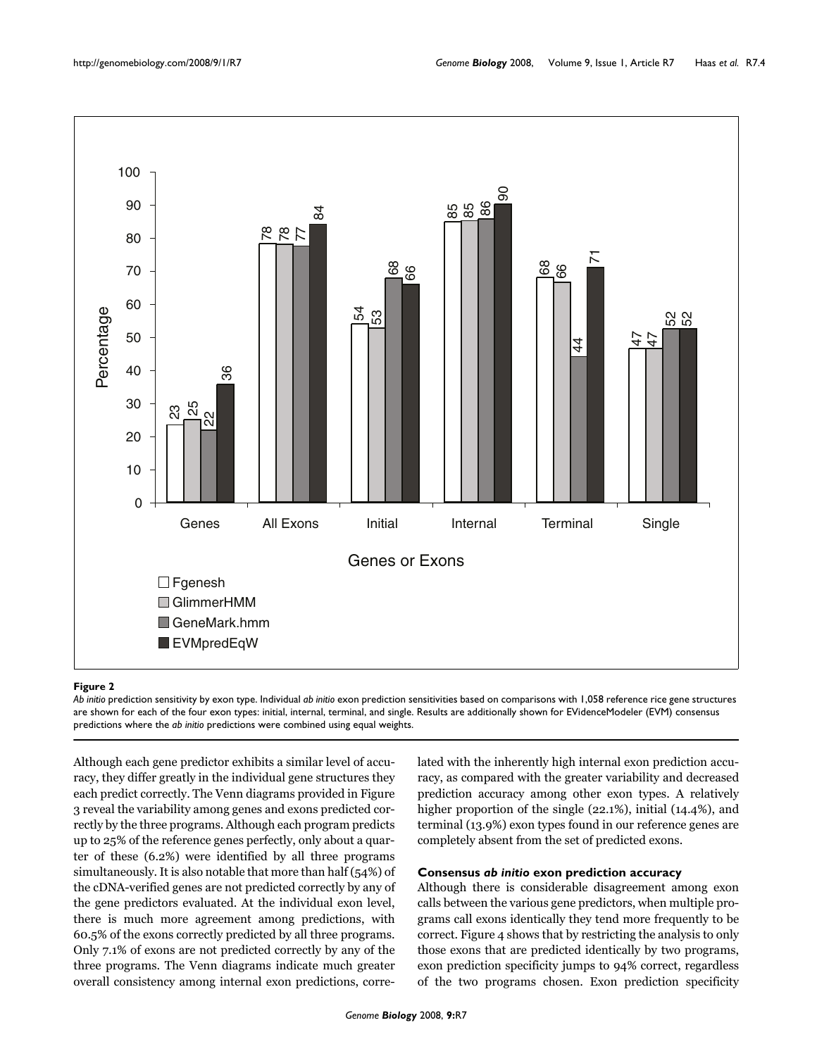<span id="page-3-0"></span>

*Ab initio* prediction sensitivity by exon type. Individual *ab initio* exon prediction sensitivities based on comparisons with 1,058 reference rice gene structures are shown for each of the four exon types: initial, internal, terminal, and single. Results are additionally shown for EVidenceModeler (EVM) consensus predictions where the *ab initio* predictions were combined using equal weights.

Although each gene predictor exhibits a similar level of accuracy, they differ greatly in the individual gene structures they each predict correctly. The Venn diagrams provided in Figure [3](#page-4-0) reveal the variability among genes and exons predicted correctly by the three programs. Although each program predicts up to 25% of the reference genes perfectly, only about a quarter of these (6.2%) were identified by all three programs simultaneously. It is also notable that more than half (54%) of the cDNA-verified genes are not predicted correctly by any of the gene predictors evaluated. At the individual exon level, there is much more agreement among predictions, with 60.5% of the exons correctly predicted by all three programs. Only 7.1% of exons are not predicted correctly by any of the three programs. The Venn diagrams indicate much greater overall consistency among internal exon predictions, correlated with the inherently high internal exon prediction accuracy, as compared with the greater variability and decreased prediction accuracy among other exon types. A relatively higher proportion of the single (22.1%), initial (14.4%), and terminal (13.9%) exon types found in our reference genes are completely absent from the set of predicted exons.

#### **Consensus** *ab initio* **exon prediction accuracy**

Although there is considerable disagreement among exon calls between the various gene predictors, when multiple programs call exons identically they tend more frequently to be correct. Figure [4](#page-5-0) shows that by restricting the analysis to only those exons that are predicted identically by two programs, exon prediction specificity jumps to 94% correct, regardless of the two programs chosen. Exon prediction specificity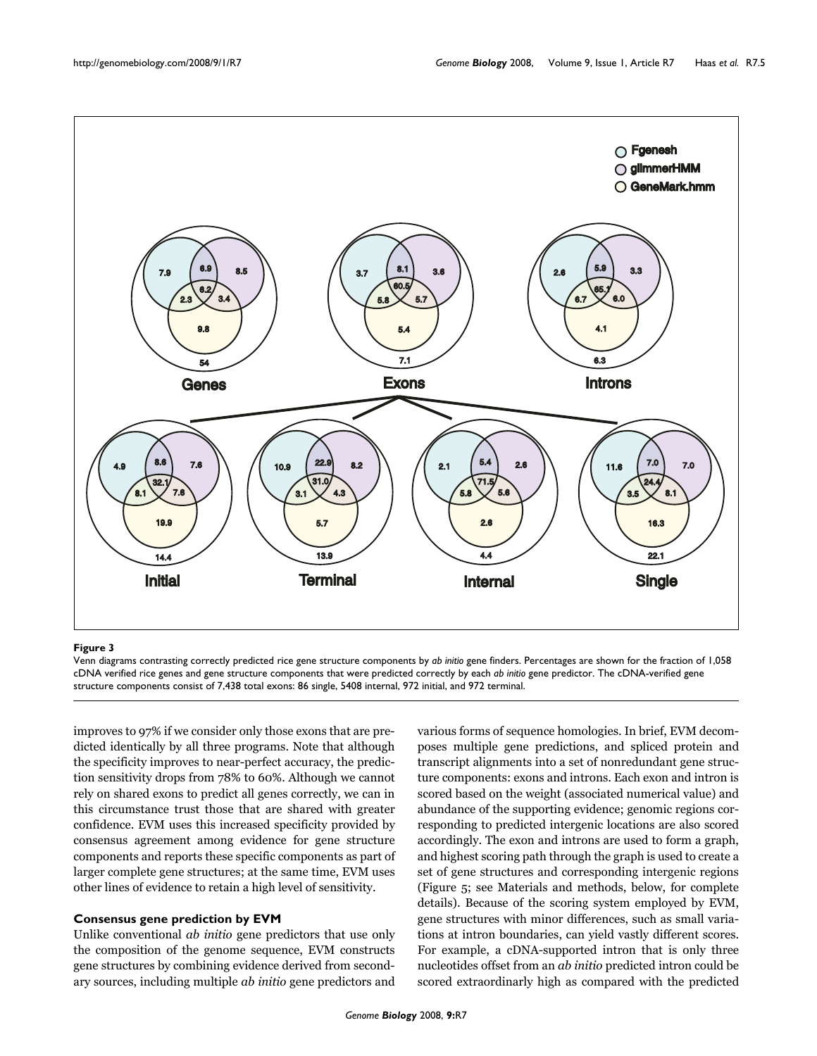<span id="page-4-0"></span>

#### Venn diagrams contrasting correctly predicted rice gene structure components by **Figure 3** *ab initio* gene finders

Venn diagrams contrasting correctly predicted rice gene structure components by *ab initio* gene finders. Percentages are shown for the fraction of 1,058 cDNA verified rice genes and gene structure components that were predicted correctly by each *ab initio* gene predictor. The cDNA-verified gene structure components consist of 7,438 total exons: 86 single, 5408 internal, 972 initial, and 972 terminal.

improves to 97% if we consider only those exons that are predicted identically by all three programs. Note that although the specificity improves to near-perfect accuracy, the prediction sensitivity drops from 78% to 60%. Although we cannot rely on shared exons to predict all genes correctly, we can in this circumstance trust those that are shared with greater confidence. EVM uses this increased specificity provided by consensus agreement among evidence for gene structure components and reports these specific components as part of larger complete gene structures; at the same time, EVM uses other lines of evidence to retain a high level of sensitivity.

## **Consensus gene prediction by EVM**

Unlike conventional *ab initio* gene predictors that use only the composition of the genome sequence, EVM constructs gene structures by combining evidence derived from secondary sources, including multiple *ab initio* gene predictors and various forms of sequence homologies. In brief, EVM decomposes multiple gene predictions, and spliced protein and transcript alignments into a set of nonredundant gene structure components: exons and introns. Each exon and intron is scored based on the weight (associated numerical value) and abundance of the supporting evidence; genomic regions corresponding to predicted intergenic locations are also scored accordingly. The exon and introns are used to form a graph, and highest scoring path through the graph is used to create a set of gene structures and corresponding intergenic regions (Figure [5;](#page-6-0) see Materials and methods, below, for complete details). Because of the scoring system employed by EVM, gene structures with minor differences, such as small variations at intron boundaries, can yield vastly different scores. For example, a cDNA-supported intron that is only three nucleotides offset from an *ab initio* predicted intron could be scored extraordinarly high as compared with the predicted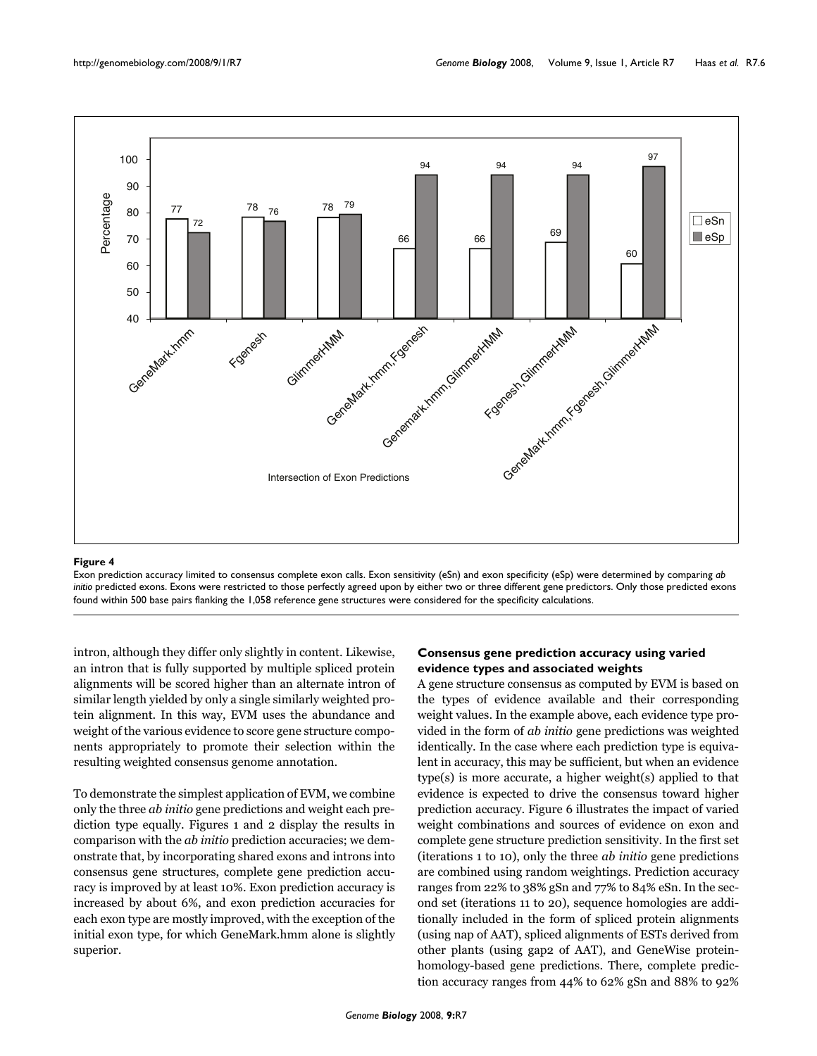<span id="page-5-0"></span>

Exon prediction accuracy limited to consensus complete exon calls. Exon sensitivity (eSn) and exon specificity (eSp) were determined by comparing ab *initio* predicted exons. Exons were restricted to those perfectly agreed upon by either two or three different gene predictors. Only those predicted exons found within 500 base pairs flanking the 1,058 reference gene structures were considered for the specificity calculations.

intron, although they differ only slightly in content. Likewise, an intron that is fully supported by multiple spliced protein alignments will be scored higher than an alternate intron of similar length yielded by only a single similarly weighted protein alignment. In this way, EVM uses the abundance and weight of the various evidence to score gene structure components appropriately to promote their selection within the resulting weighted consensus genome annotation.

To demonstrate the simplest application of EVM, we combine only the three *ab initio* gene predictions and weight each prediction type equally. Figures 1 and [2](#page-3-0) display the results in comparison with the *ab initio* prediction accuracies; we demonstrate that, by incorporating shared exons and introns into consensus gene structures, complete gene prediction accuracy is improved by at least 10%. Exon prediction accuracy is increased by about 6%, and exon prediction accuracies for each exon type are mostly improved, with the exception of the initial exon type, for which GeneMark.hmm alone is slightly superior.

## **Consensus gene prediction accuracy using varied evidence types and associated weights**

A gene structure consensus as computed by EVM is based on the types of evidence available and their corresponding weight values. In the example above, each evidence type provided in the form of *ab initio* gene predictions was weighted identically. In the case where each prediction type is equivalent in accuracy, this may be sufficient, but when an evidence type(s) is more accurate, a higher weight(s) applied to that evidence is expected to drive the consensus toward higher prediction accuracy. Figure 6 illustrates the impact of varied weight combinations and sources of evidence on exon and complete gene structure prediction sensitivity. In the first set (iterations 1 to 10), only the three *ab initio* gene predictions are combined using random weightings. Prediction accuracy ranges from 22% to 38% gSn and 77% to 84% eSn. In the second set (iterations 11 to 20), sequence homologies are additionally included in the form of spliced protein alignments (using nap of AAT), spliced alignments of ESTs derived from other plants (using gap2 of AAT), and GeneWise proteinhomology-based gene predictions. There, complete prediction accuracy ranges from 44% to 62% gSn and 88% to 92%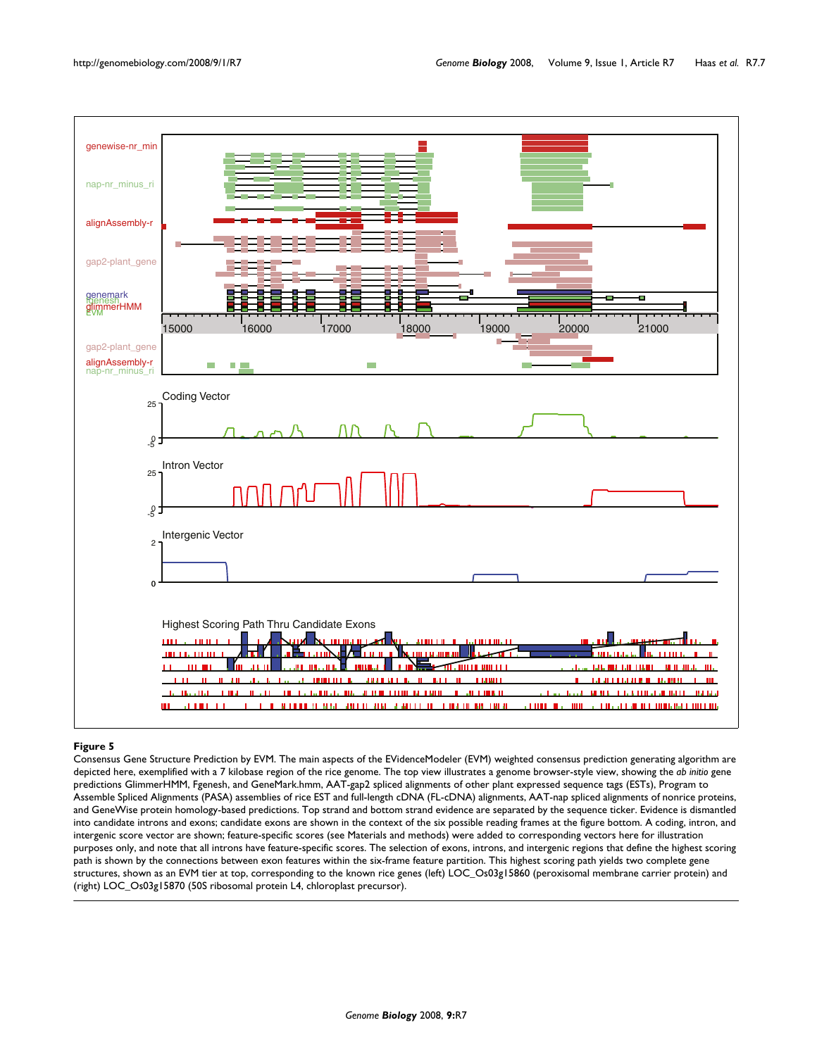<span id="page-6-0"></span>

Consensus Gene Structure Prediction by EVM. The main aspects of the EVidenceModeler (EVM) weighted consensus prediction generating algorithm are depicted here, exemplified with a 7 kilobase region of the rice genome. The top view illustrates a genome browser-style view, showing the *ab initio* gene predictions GlimmerHMM, Fgenesh, and GeneMark.hmm, AAT-gap2 spliced alignments of other plant expressed sequence tags (ESTs), Program to Assemble Spliced Alignments (PASA) assemblies of rice EST and full-length cDNA (FL-cDNA) alignments, AAT-nap spliced alignments of nonrice proteins, and GeneWise protein homology-based predictions. Top strand and bottom strand evidence are separated by the sequence ticker. Evidence is dismantled into candidate introns and exons; candidate exons are shown in the context of the six possible reading frames at the figure bottom. A coding, intron, and intergenic score vector are shown; feature-specific scores (see Materials and methods) were added to corresponding vectors here for illustration purposes only, and note that all introns have feature-specific scores. The selection of exons, introns, and intergenic regions that define the highest scoring path is shown by the connections between exon features within the six-frame feature partition. This highest scoring path yields two complete gene structures, shown as an EVM tier at top, corresponding to the known rice genes (left) LOC\_Os03g15860 (peroxisomal membrane carrier protein) and (right) LOC\_Os03g15870 (50S ribosomal protein L4, chloroplast precursor).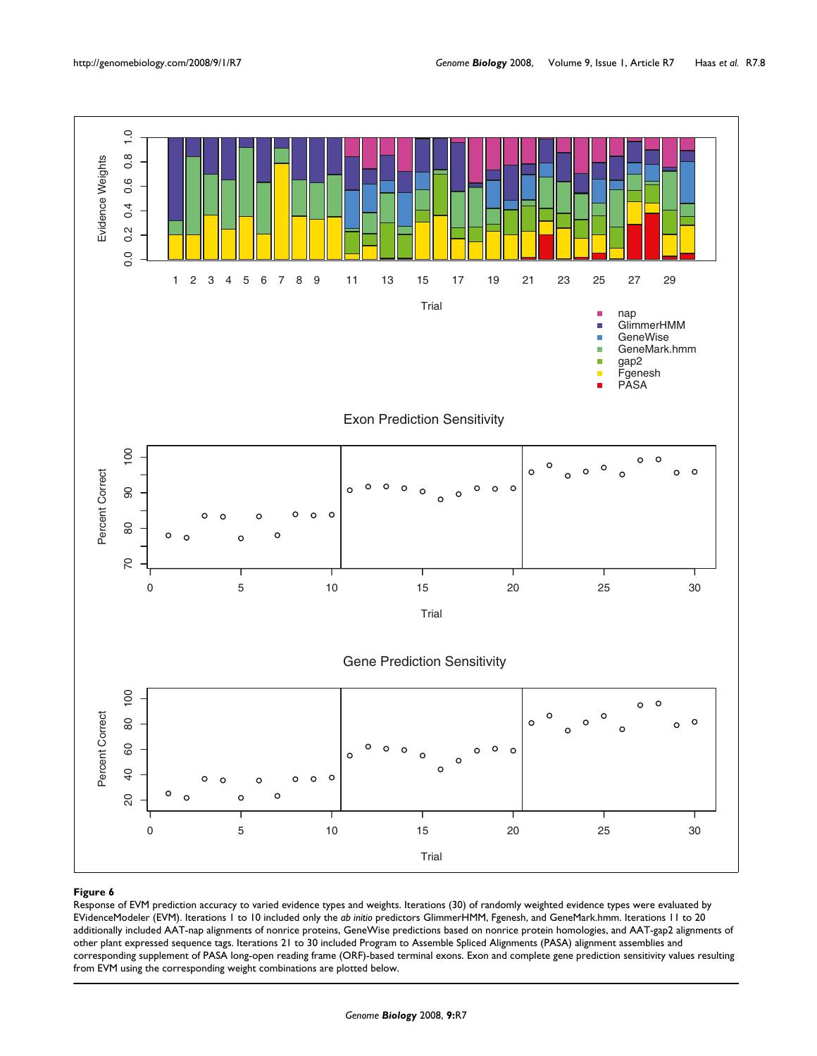

Response of EVM prediction accuracy to varied evidence types and weights. Iterations (30) of randomly weighted evidence types were evaluated by EVidenceModeler (EVM). Iterations 1 to 10 included only the *ab initio* predictors GlimmerHMM, Fgenesh, and GeneMark.hmm. Iterations 11 to 20 additionally included AAT-nap alignments of nonrice proteins, GeneWise predictions based on nonrice protein homologies, and AAT-gap2 alignments of other plant expressed sequence tags. Iterations 21 to 30 included Program to Assemble Spliced Alignments (PASA) alignment assemblies and corresponding supplement of PASA long-open reading frame (ORF)-based terminal exons. Exon and complete gene prediction sensitivity values resulting from EVM using the corresponding weight combinations are plotted below.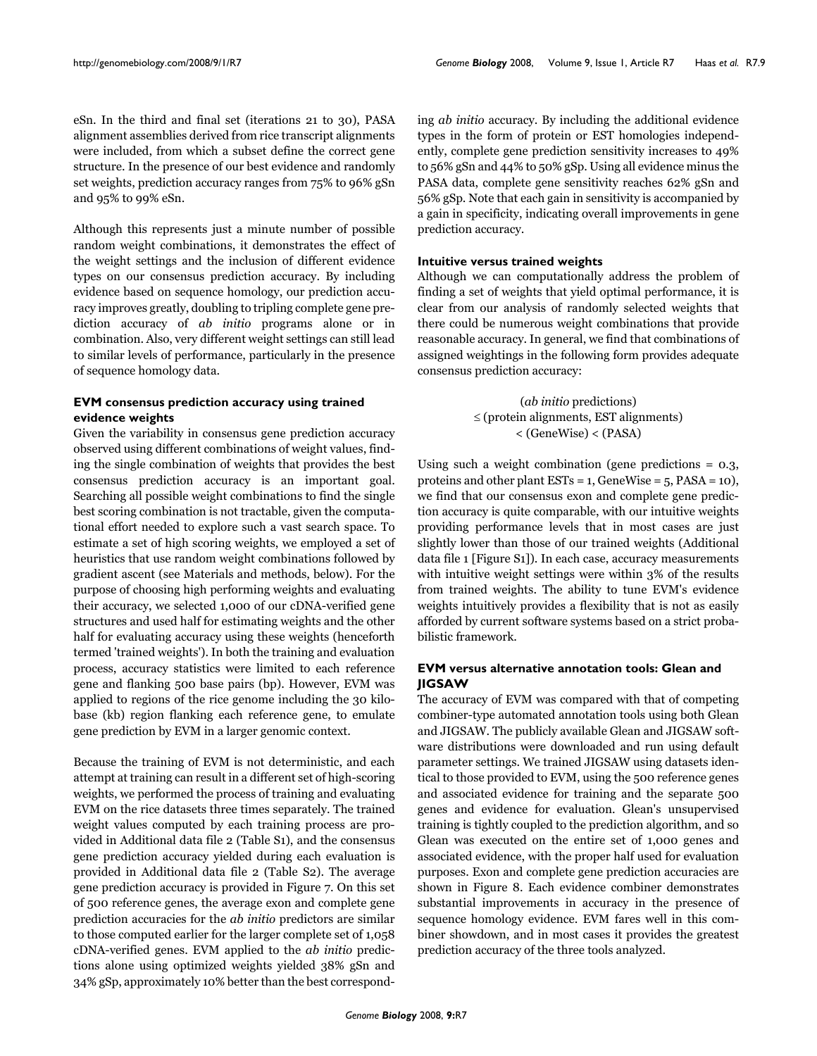eSn. In the third and final set (iterations 21 to 30), PASA alignment assemblies derived from rice transcript alignments were included, from which a subset define the correct gene structure. In the presence of our best evidence and randomly set weights, prediction accuracy ranges from 75% to 96% gSn and 95% to 99% eSn.

Although this represents just a minute number of possible random weight combinations, it demonstrates the effect of the weight settings and the inclusion of different evidence types on our consensus prediction accuracy. By including evidence based on sequence homology, our prediction accuracy improves greatly, doubling to tripling complete gene prediction accuracy of *ab initio* programs alone or in combination. Also, very different weight settings can still lead to similar levels of performance, particularly in the presence of sequence homology data.

## **EVM consensus prediction accuracy using trained evidence weights**

Given the variability in consensus gene prediction accuracy observed using different combinations of weight values, finding the single combination of weights that provides the best consensus prediction accuracy is an important goal. Searching all possible weight combinations to find the single best scoring combination is not tractable, given the computational effort needed to explore such a vast search space. To estimate a set of high scoring weights, we employed a set of heuristics that use random weight combinations followed by gradient ascent (see Materials and methods, below). For the purpose of choosing high performing weights and evaluating their accuracy, we selected 1,000 of our cDNA-verified gene structures and used half for estimating weights and the other half for evaluating accuracy using these weights (henceforth termed 'trained weights'). In both the training and evaluation process, accuracy statistics were limited to each reference gene and flanking 500 base pairs (bp). However, EVM was applied to regions of the rice genome including the 30 kilobase (kb) region flanking each reference gene, to emulate gene prediction by EVM in a larger genomic context.

Because the training of EVM is not deterministic, and each attempt at training can result in a different set of high-scoring weights, we performed the process of training and evaluating EVM on the rice datasets three times separately. The trained weight values computed by each training process are provided in Additional data file 2 (Table S1), and the consensus gene prediction accuracy yielded during each evaluation is provided in Additional data file 2 (Table S2). The average gene prediction accuracy is provided in Figure 7. On this set of 500 reference genes, the average exon and complete gene prediction accuracies for the *ab initio* predictors are similar to those computed earlier for the larger complete set of 1,058 cDNA-verified genes. EVM applied to the *ab initio* predictions alone using optimized weights yielded 38% gSn and 34% gSp, approximately 10% better than the best corresponding *ab initio* accuracy. By including the additional evidence types in the form of protein or EST homologies independently, complete gene prediction sensitivity increases to 49% to 56% gSn and 44% to 50% gSp. Using all evidence minus the PASA data, complete gene sensitivity reaches 62% gSn and 56% gSp. Note that each gain in sensitivity is accompanied by a gain in specificity, indicating overall improvements in gene prediction accuracy.

### **Intuitive versus trained weights**

Although we can computationally address the problem of finding a set of weights that yield optimal performance, it is clear from our analysis of randomly selected weights that there could be numerous weight combinations that provide reasonable accuracy. In general, we find that combinations of assigned weightings in the following form provides adequate consensus prediction accuracy:

> (*ab initio* predictions) ≤ (protein alignments, EST alignments) < (GeneWise) < (PASA)

Using such a weight combination (gene predictions = 0.3, proteins and other plant  $ESTs = 1$ , GeneWise = 5, PASA = 10), we find that our consensus exon and complete gene prediction accuracy is quite comparable, with our intuitive weights providing performance levels that in most cases are just slightly lower than those of our trained weights (Additional data file 1 [Figure S1]). In each case, accuracy measurements with intuitive weight settings were within 3% of the results from trained weights. The ability to tune EVM's evidence weights intuitively provides a flexibility that is not as easily afforded by current software systems based on a strict probabilistic framework.

## **EVM versus alternative annotation tools: Glean and JIGSAW**

The accuracy of EVM was compared with that of competing combiner-type automated annotation tools using both Glean and JIGSAW. The publicly available Glean and JIGSAW software distributions were downloaded and run using default parameter settings. We trained JIGSAW using datasets identical to those provided to EVM, using the 500 reference genes and associated evidence for training and the separate 500 genes and evidence for evaluation. Glean's unsupervised training is tightly coupled to the prediction algorithm, and so Glean was executed on the entire set of 1,000 genes and associated evidence, with the proper half used for evaluation purposes. Exon and complete gene prediction accuracies are shown in Figure 8. Each evidence combiner demonstrates substantial improvements in accuracy in the presence of sequence homology evidence. EVM fares well in this combiner showdown, and in most cases it provides the greatest prediction accuracy of the three tools analyzed.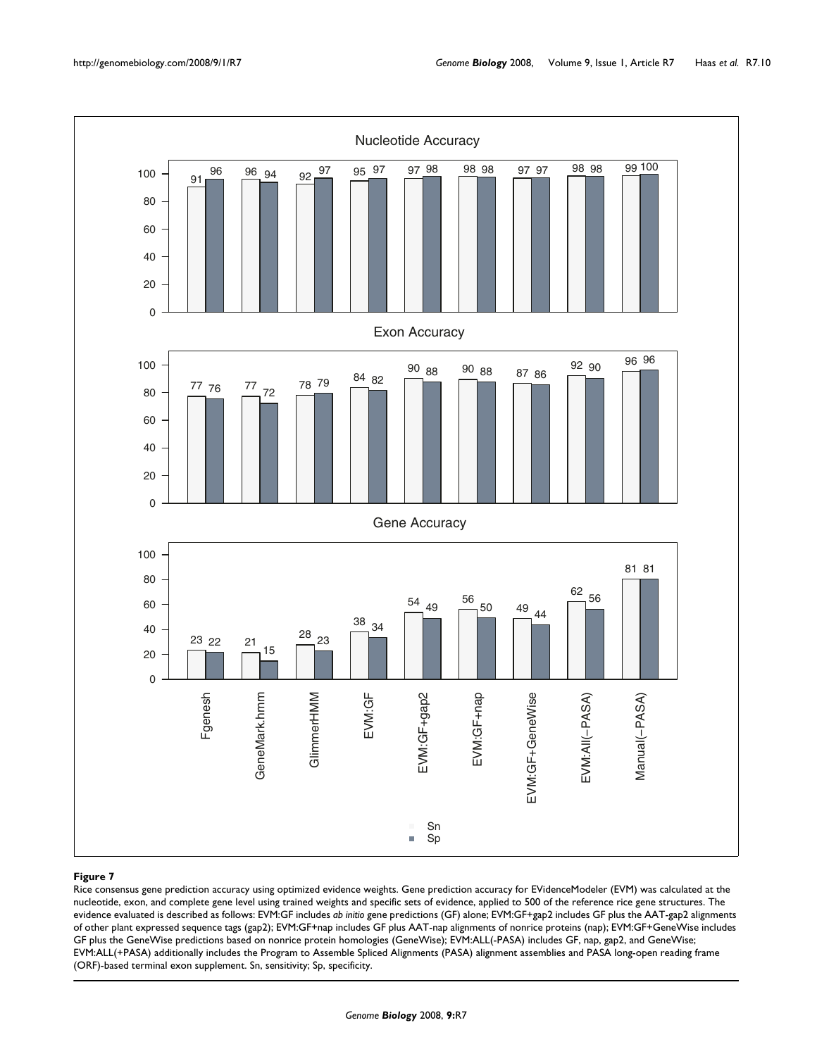

Rice consensus gene prediction accuracy using optimized evidence weights. Gene prediction accuracy for EVidenceModeler (EVM) was calculated at the nucleotide, exon, and complete gene level using trained weights and specific sets of evidence, applied to 500 of the reference rice gene structures. The evidence evaluated is described as follows: EVM:GF includes *ab initio* gene predictions (GF) alone; EVM:GF+gap2 includes GF plus the AAT-gap2 alignments of other plant expressed sequence tags (gap2); EVM:GF+nap includes GF plus AAT-nap alignments of nonrice proteins (nap); EVM:GF+GeneWise includes GF plus the GeneWise predictions based on nonrice protein homologies (GeneWise); EVM:ALL(-PASA) includes GF, nap, gap2, and GeneWise; EVM:ALL(+PASA) additionally includes the Program to Assemble Spliced Alignments (PASA) alignment assemblies and PASA long-open reading frame (ORF)-based terminal exon supplement. Sn, sensitivity; Sp, specificity.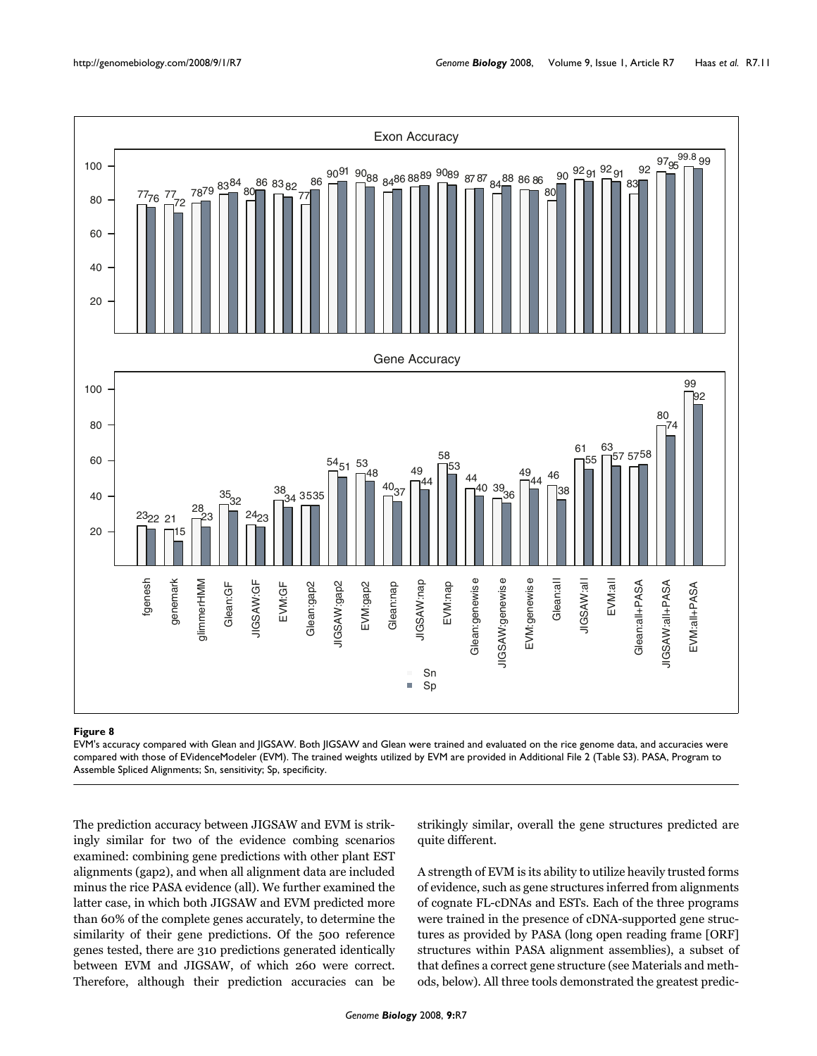

EVM's accuracy compared with Glean and JIGSAW. Both JIGSAW and Glean were trained and evaluated on the rice genome data, and accuracies were compared with those of EVidenceModeler (EVM). The trained weights utilized by EVM are provided in Additional File 2 (Table S3). PASA, Program to Assemble Spliced Alignments; Sn, sensitivity; Sp, specificity.

The prediction accuracy between JIGSAW and EVM is strikingly similar for two of the evidence combing scenarios examined: combining gene predictions with other plant EST alignments (gap2), and when all alignment data are included minus the rice PASA evidence (all). We further examined the latter case, in which both JIGSAW and EVM predicted more than 60% of the complete genes accurately, to determine the similarity of their gene predictions. Of the 500 reference genes tested, there are 310 predictions generated identically between EVM and JIGSAW, of which 260 were correct. Therefore, although their prediction accuracies can be strikingly similar, overall the gene structures predicted are quite different.

A strength of EVM is its ability to utilize heavily trusted forms of evidence, such as gene structures inferred from alignments of cognate FL-cDNAs and ESTs. Each of the three programs were trained in the presence of cDNA-supported gene structures as provided by PASA (long open reading frame [ORF] structures within PASA alignment assemblies), a subset of that defines a correct gene structure (see Materials and methods, below). All three tools demonstrated the greatest predic-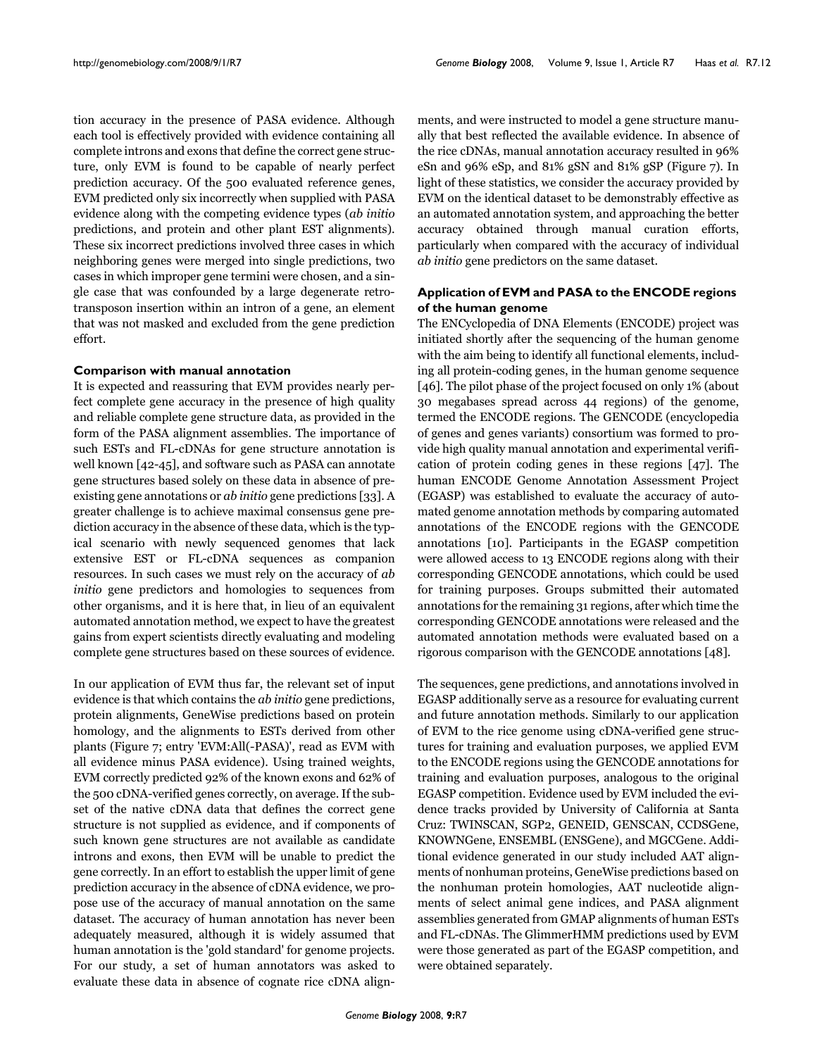tion accuracy in the presence of PASA evidence. Although each tool is effectively provided with evidence containing all complete introns and exons that define the correct gene structure, only EVM is found to be capable of nearly perfect prediction accuracy. Of the 500 evaluated reference genes, EVM predicted only six incorrectly when supplied with PASA evidence along with the competing evidence types (*ab initio* predictions, and protein and other plant EST alignments). These six incorrect predictions involved three cases in which neighboring genes were merged into single predictions, two cases in which improper gene termini were chosen, and a single case that was confounded by a large degenerate retrotransposon insertion within an intron of a gene, an element that was not masked and excluded from the gene prediction effort.

## **Comparison with manual annotation**

It is expected and reassuring that EVM provides nearly perfect complete gene accuracy in the presence of high quality and reliable complete gene structure data, as provided in the form of the PASA alignment assemblies. The importance of such ESTs and FL-cDNAs for gene structure annotation is well known [42-45], and software such as PASA can annotate gene structures based solely on these data in absence of preexisting gene annotations or *ab initio* gene predictions [33]. A greater challenge is to achieve maximal consensus gene prediction accuracy in the absence of these data, which is the typical scenario with newly sequenced genomes that lack extensive EST or FL-cDNA sequences as companion resources. In such cases we must rely on the accuracy of *ab initio* gene predictors and homologies to sequences from other organisms, and it is here that, in lieu of an equivalent automated annotation method, we expect to have the greatest gains from expert scientists directly evaluating and modeling complete gene structures based on these sources of evidence.

In our application of EVM thus far, the relevant set of input evidence is that which contains the *ab initio* gene predictions, protein alignments, GeneWise predictions based on protein homology, and the alignments to ESTs derived from other plants (Figure 7; entry 'EVM:All(-PASA)', read as EVM with all evidence minus PASA evidence). Using trained weights, EVM correctly predicted 92% of the known exons and 62% of the 500 cDNA-verified genes correctly, on average. If the subset of the native cDNA data that defines the correct gene structure is not supplied as evidence, and if components of such known gene structures are not available as candidate introns and exons, then EVM will be unable to predict the gene correctly. In an effort to establish the upper limit of gene prediction accuracy in the absence of cDNA evidence, we propose use of the accuracy of manual annotation on the same dataset. The accuracy of human annotation has never been adequately measured, although it is widely assumed that human annotation is the 'gold standard' for genome projects. For our study, a set of human annotators was asked to evaluate these data in absence of cognate rice cDNA alignments, and were instructed to model a gene structure manually that best reflected the available evidence. In absence of the rice cDNAs, manual annotation accuracy resulted in 96% eSn and 96% eSp, and 81% gSN and 81% gSP (Figure 7). In light of these statistics, we consider the accuracy provided by EVM on the identical dataset to be demonstrably effective as an automated annotation system, and approaching the better accuracy obtained through manual curation efforts, particularly when compared with the accuracy of individual *ab initio* gene predictors on the same dataset.

## **Application of EVM and PASA to the ENCODE regions of the human genome**

The ENCyclopedia of DNA Elements (ENCODE) project was initiated shortly after the sequencing of the human genome with the aim being to identify all functional elements, including all protein-coding genes, in the human genome sequence [46]. The pilot phase of the project focused on only 1% (about 30 megabases spread across 44 regions) of the genome, termed the ENCODE regions. The GENCODE (encyclopedia of genes and genes variants) consortium was formed to provide high quality manual annotation and experimental verification of protein coding genes in these regions [47]. The human ENCODE Genome Annotation Assessment Project (EGASP) was established to evaluate the accuracy of automated genome annotation methods by comparing automated annotations of the ENCODE regions with the GENCODE annotations [10]. Participants in the EGASP competition were allowed access to 13 ENCODE regions along with their corresponding GENCODE annotations, which could be used for training purposes. Groups submitted their automated annotations for the remaining 31 regions, after which time the corresponding GENCODE annotations were released and the automated annotation methods were evaluated based on a rigorous comparison with the GENCODE annotations [48].

The sequences, gene predictions, and annotations involved in EGASP additionally serve as a resource for evaluating current and future annotation methods. Similarly to our application of EVM to the rice genome using cDNA-verified gene structures for training and evaluation purposes, we applied EVM to the ENCODE regions using the GENCODE annotations for training and evaluation purposes, analogous to the original EGASP competition. Evidence used by EVM included the evidence tracks provided by University of California at Santa Cruz: TWINSCAN, SGP2, GENEID, GENSCAN, CCDSGene, KNOWNGene, ENSEMBL (ENSGene), and MGCGene. Additional evidence generated in our study included AAT alignments of nonhuman proteins, GeneWise predictions based on the nonhuman protein homologies, AAT nucleotide alignments of select animal gene indices, and PASA alignment assemblies generated from GMAP alignments of human ESTs and FL-cDNAs. The GlimmerHMM predictions used by EVM were those generated as part of the EGASP competition, and were obtained separately.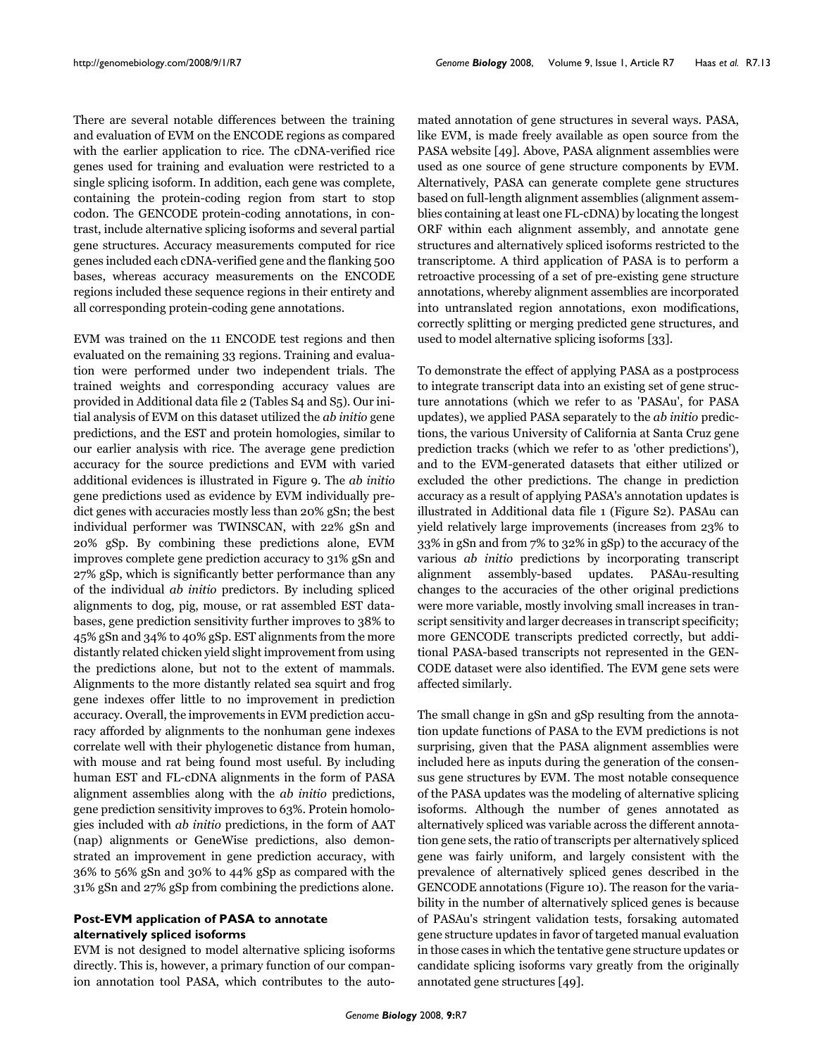There are several notable differences between the training and evaluation of EVM on the ENCODE regions as compared with the earlier application to rice. The cDNA-verified rice genes used for training and evaluation were restricted to a single splicing isoform. In addition, each gene was complete, containing the protein-coding region from start to stop codon. The GENCODE protein-coding annotations, in contrast, include alternative splicing isoforms and several partial gene structures. Accuracy measurements computed for rice genes included each cDNA-verified gene and the flanking 500 bases, whereas accuracy measurements on the ENCODE regions included these sequence regions in their entirety and all corresponding protein-coding gene annotations.

EVM was trained on the 11 ENCODE test regions and then evaluated on the remaining 33 regions. Training and evaluation were performed under two independent trials. The trained weights and corresponding accuracy values are provided in Additional data file 2 (Tables S4 and S5). Our initial analysis of EVM on this dataset utilized the *ab initio* gene predictions, and the EST and protein homologies, similar to our earlier analysis with rice. The average gene prediction accuracy for the source predictions and EVM with varied additional evidences is illustrated in Figure [9](#page-13-0). The *ab initio* gene predictions used as evidence by EVM individually predict genes with accuracies mostly less than 20% gSn; the best individual performer was TWINSCAN, with 22% gSn and 20% gSp. By combining these predictions alone, EVM improves complete gene prediction accuracy to 31% gSn and 27% gSp, which is significantly better performance than any of the individual *ab initio* predictors. By including spliced alignments to dog, pig, mouse, or rat assembled EST databases, gene prediction sensitivity further improves to 38% to 45% gSn and 34% to 40% gSp. EST alignments from the more distantly related chicken yield slight improvement from using the predictions alone, but not to the extent of mammals. Alignments to the more distantly related sea squirt and frog gene indexes offer little to no improvement in prediction accuracy. Overall, the improvements in EVM prediction accuracy afforded by alignments to the nonhuman gene indexes correlate well with their phylogenetic distance from human, with mouse and rat being found most useful. By including human EST and FL-cDNA alignments in the form of PASA alignment assemblies along with the *ab initio* predictions, gene prediction sensitivity improves to 63%. Protein homologies included with *ab initio* predictions, in the form of AAT (nap) alignments or GeneWise predictions, also demonstrated an improvement in gene prediction accuracy, with 36% to 56% gSn and 30% to 44% gSp as compared with the 31% gSn and 27% gSp from combining the predictions alone.

## **Post-EVM application of PASA to annotate alternatively spliced isoforms**

EVM is not designed to model alternative splicing isoforms directly. This is, however, a primary function of our companion annotation tool PASA, which contributes to the automated annotation of gene structures in several ways. PASA, like EVM, is made freely available as open source from the PASA website [49]. Above, PASA alignment assemblies were used as one source of gene structure components by EVM. Alternatively, PASA can generate complete gene structures based on full-length alignment assemblies (alignment assemblies containing at least one FL-cDNA) by locating the longest ORF within each alignment assembly, and annotate gene structures and alternatively spliced isoforms restricted to the transcriptome. A third application of PASA is to perform a retroactive processing of a set of pre-existing gene structure annotations, whereby alignment assemblies are incorporated into untranslated region annotations, exon modifications, correctly splitting or merging predicted gene structures, and used to model alternative splicing isoforms [33].

To demonstrate the effect of applying PASA as a postprocess to integrate transcript data into an existing set of gene structure annotations (which we refer to as 'PASAu', for PASA updates), we applied PASA separately to the *ab initio* predictions, the various University of California at Santa Cruz gene prediction tracks (which we refer to as 'other predictions'), and to the EVM-generated datasets that either utilized or excluded the other predictions. The change in prediction accuracy as a result of applying PASA's annotation updates is illustrated in Additional data file 1 (Figure S2). PASAu can yield relatively large improvements (increases from 23% to 33% in gSn and from 7% to 32% in gSp) to the accuracy of the various *ab initio* predictions by incorporating transcript alignment assembly-based updates. PASAu-resulting changes to the accuracies of the other original predictions were more variable, mostly involving small increases in transcript sensitivity and larger decreases in transcript specificity; more GENCODE transcripts predicted correctly, but additional PASA-based transcripts not represented in the GEN-CODE dataset were also identified. The EVM gene sets were affected similarly.

The small change in gSn and gSp resulting from the annotation update functions of PASA to the EVM predictions is not surprising, given that the PASA alignment assemblies were included here as inputs during the generation of the consensus gene structures by EVM. The most notable consequence of the PASA updates was the modeling of alternative splicing isoforms. Although the number of genes annotated as alternatively spliced was variable across the different annotation gene sets, the ratio of transcripts per alternatively spliced gene was fairly uniform, and largely consistent with the prevalence of alternatively spliced genes described in the GENCODE annotations (Figure 10). The reason for the variability in the number of alternatively spliced genes is because of PASAu's stringent validation tests, forsaking automated gene structure updates in favor of targeted manual evaluation in those cases in which the tentative gene structure updates or candidate splicing isoforms vary greatly from the originally annotated gene structures [49].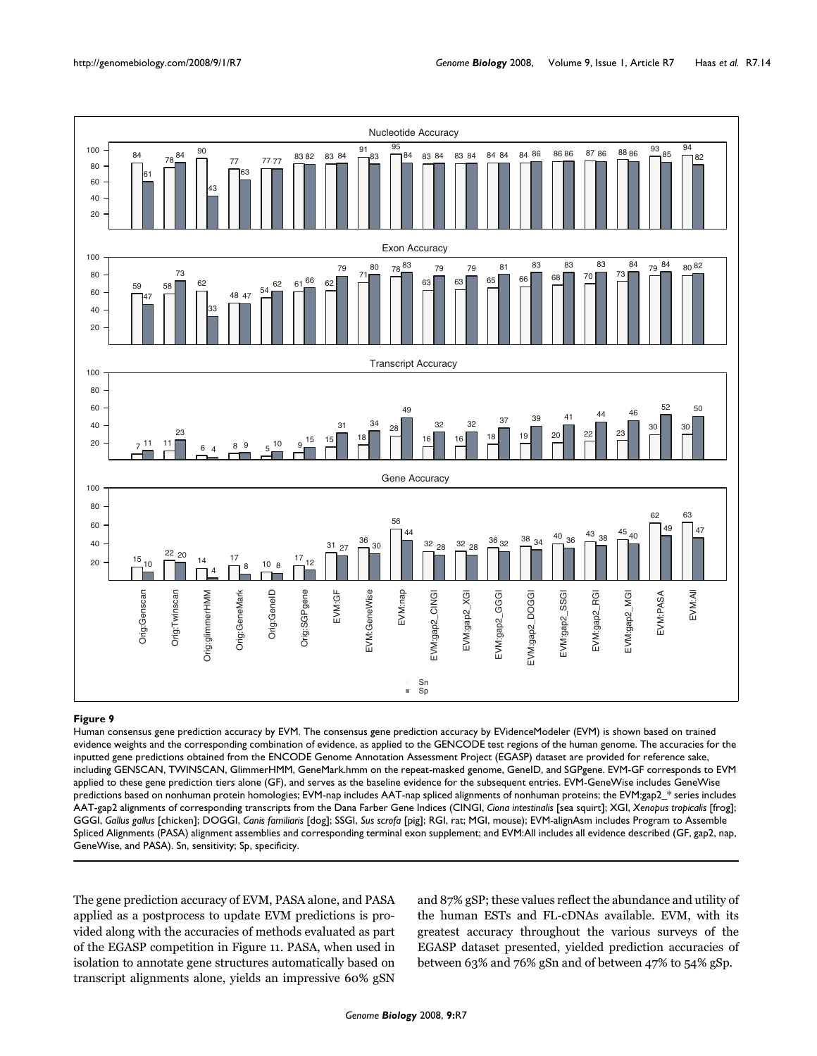<span id="page-13-0"></span>

Human consensus gene prediction accuracy by EVM. The consensus gene prediction accuracy by EVidenceModeler (EVM) is shown based on trained evidence weights and the corresponding combination of evidence, as applied to the GENCODE test regions of the human genome. The accuracies for the inputted gene predictions obtained from the ENCODE Genome Annotation Assessment Project (EGASP) dataset are provided for reference sake, including GENSCAN, TWINSCAN, GlimmerHMM, GeneMark.hmm on the repeat-masked genome, GeneID, and SGPgene. EVM-GF corresponds to EVM applied to these gene prediction tiers alone (GF), and serves as the baseline evidence for the subsequent entries. EVM-GeneWise includes GeneWise predictions based on nonhuman protein homologies; EVM-nap includes AAT-nap spliced alignments of nonhuman proteins; the EVM:gap2\_\* series includes AAT-gap2 alignments of corresponding transcripts from the Dana Farber Gene Indices (CINGI, *Ciona intestinalis* [sea squirt]; XGI, *Xenopus tropicalis* [frog]; GGGI, *Gallus gallus* [chicken]; DOGGI, *Canis familiaris* [dog]; SSGI, *Sus scrofa* [pig]; RGI, rat; MGI, mouse); EVM-alignAsm includes Program to Assemble Spliced Alignments (PASA) alignment assemblies and corresponding terminal exon supplement; and EVM:All includes all evidence described (GF, gap2, nap, GeneWise, and PASA). Sn, sensitivity; Sp, specificity.

The gene prediction accuracy of EVM, PASA alone, and PASA applied as a postprocess to update EVM predictions is provided along with the accuracies of methods evaluated as part of the EGASP competition in Figure [11](#page-15-0). PASA, when used in isolation to annotate gene structures automatically based on transcript alignments alone, yields an impressive 60% gSN

and 87% gSP; these values reflect the abundance and utility of the human ESTs and FL-cDNAs available. EVM, with its greatest accuracy throughout the various surveys of the EGASP dataset presented, yielded prediction accuracies of between 63% and 76% gSn and of between 47% to 54% gSp.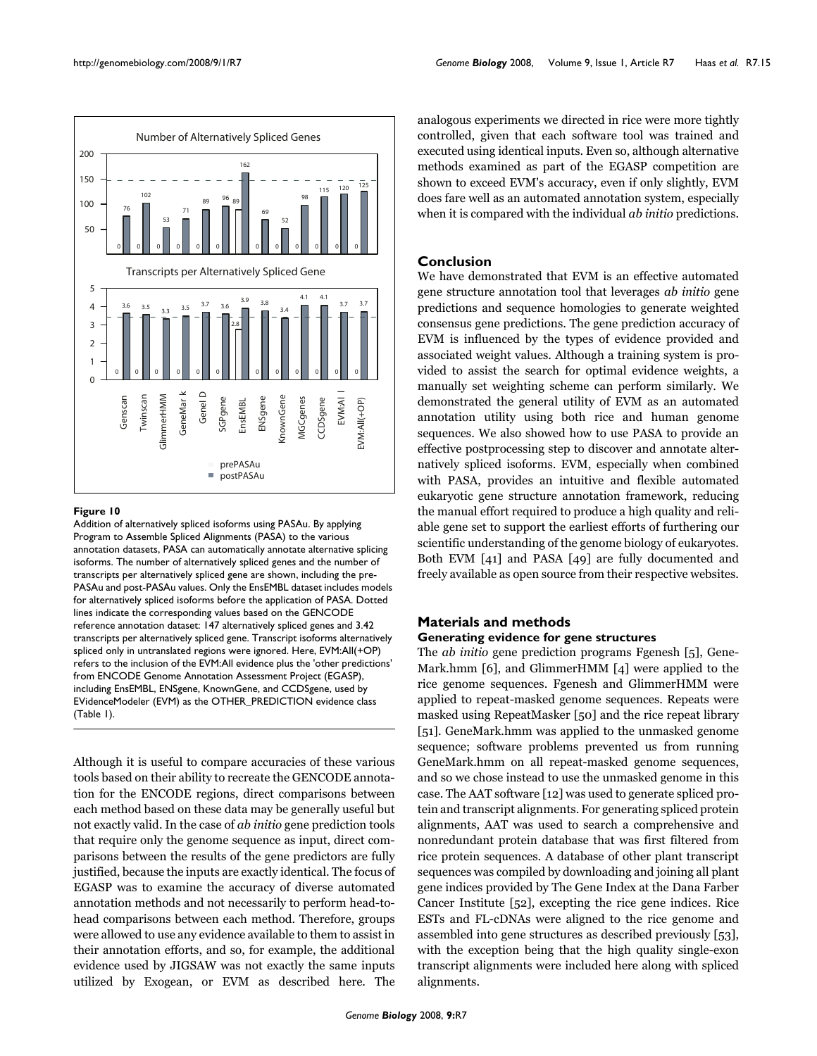

Addition of alternatively spliced isoforms using PASAu. By applying Program to Assemble Spliced Alignments (PASA) to the various annotation datasets, PASA can automatically annotate alternative splicing isoforms. The number of alternatively spliced genes and the number of transcripts per alternatively spliced gene are shown, including the pre-PASAu and post-PASAu values. Only the EnsEMBL dataset includes models for alternatively spliced isoforms before the application of PASA. Dotted lines indicate the corresponding values based on the GENCODE reference annotation dataset: 147 alternatively spliced genes and 3.42 transcripts per alternatively spliced gene. Transcript isoforms alternatively spliced only in untranslated regions were ignored. Here, EVM:All(+OP) refers to the inclusion of the EVM:All evidence plus the 'other predictions' from ENCODE Genome Annotation Assessment Project (EGASP), including EnsEMBL, ENSgene, KnownGene, and CCDSgene, used by EVidenceModeler (EVM) as the OTHER\_PREDICTION evidence class (Table 1).

Although it is useful to compare accuracies of these various tools based on their ability to recreate the GENCODE annotation for the ENCODE regions, direct comparisons between each method based on these data may be generally useful but not exactly valid. In the case of *ab initio* gene prediction tools that require only the genome sequence as input, direct comparisons between the results of the gene predictors are fully justified, because the inputs are exactly identical. The focus of EGASP was to examine the accuracy of diverse automated annotation methods and not necessarily to perform head-tohead comparisons between each method. Therefore, groups were allowed to use any evidence available to them to assist in their annotation efforts, and so, for example, the additional evidence used by JIGSAW was not exactly the same inputs utilized by Exogean, or EVM as described here. The

analogous experiments we directed in rice were more tightly controlled, given that each software tool was trained and executed using identical inputs. Even so, although alternative methods examined as part of the EGASP competition are shown to exceed EVM's accuracy, even if only slightly, EVM does fare well as an automated annotation system, especially when it is compared with the individual *ab initio* predictions.

## **Conclusion**

We have demonstrated that EVM is an effective automated gene structure annotation tool that leverages *ab initio* gene predictions and sequence homologies to generate weighted consensus gene predictions. The gene prediction accuracy of EVM is influenced by the types of evidence provided and associated weight values. Although a training system is provided to assist the search for optimal evidence weights, a manually set weighting scheme can perform similarly. We demonstrated the general utility of EVM as an automated annotation utility using both rice and human genome sequences. We also showed how to use PASA to provide an effective postprocessing step to discover and annotate alternatively spliced isoforms. EVM, especially when combined with PASA, provides an intuitive and flexible automated eukaryotic gene structure annotation framework, reducing the manual effort required to produce a high quality and reliable gene set to support the earliest efforts of furthering our scientific understanding of the genome biology of eukaryotes. Both EVM [41] and PASA [49] are fully documented and freely available as open source from their respective websites.

## **Materials and methods Generating evidence for gene structures**

The *ab initio* gene prediction programs Fgenesh [5], Gene-Mark.hmm [6], and GlimmerHMM [4] were applied to the rice genome sequences. Fgenesh and GlimmerHMM were applied to repeat-masked genome sequences. Repeats were masked using RepeatMasker [50] and the rice repeat library [51]. GeneMark.hmm was applied to the unmasked genome sequence; software problems prevented us from running GeneMark.hmm on all repeat-masked genome sequences, and so we chose instead to use the unmasked genome in this case. The AAT software [12] was used to generate spliced protein and transcript alignments. For generating spliced protein alignments, AAT was used to search a comprehensive and nonredundant protein database that was first filtered from rice protein sequences. A database of other plant transcript sequences was compiled by downloading and joining all plant gene indices provided by The Gene Index at the Dana Farber Cancer Institute [52], excepting the rice gene indices. Rice ESTs and FL-cDNAs were aligned to the rice genome and assembled into gene structures as described previously [53], with the exception being that the high quality single-exon transcript alignments were included here along with spliced alignments.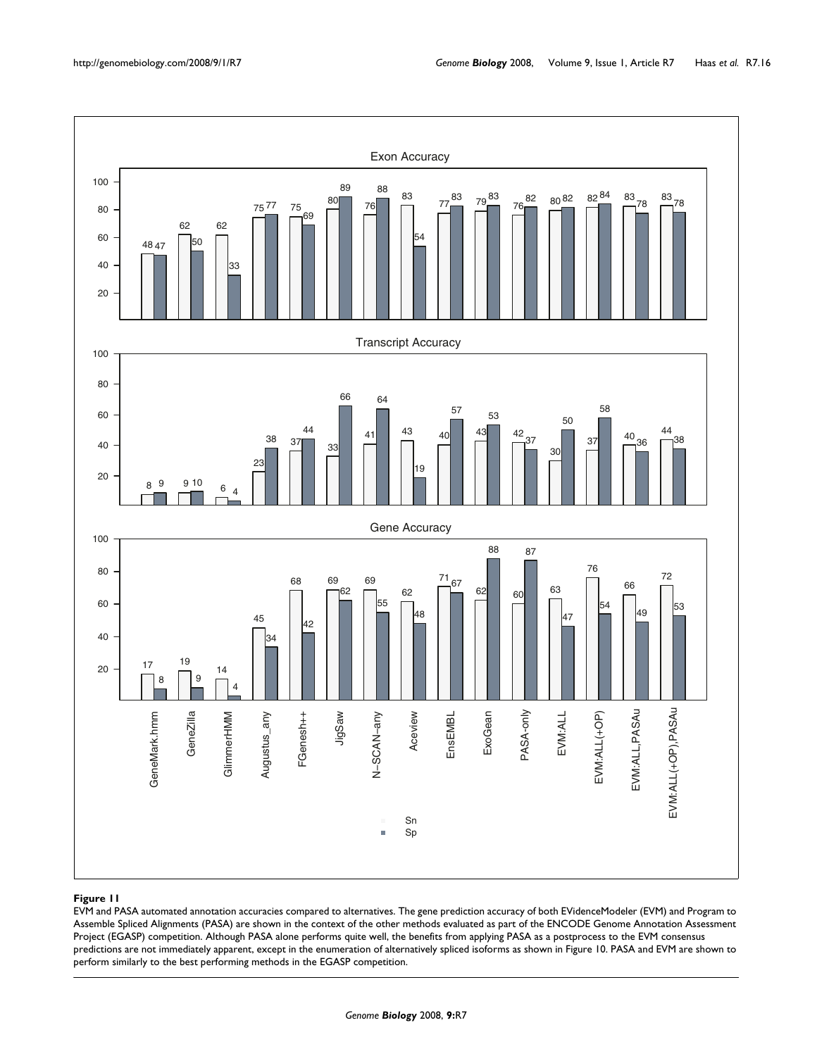<span id="page-15-0"></span>

EVM and PASA automated annotation accuracies compared to alternatives. The gene prediction accuracy of both EVidenceModeler (EVM) and Program to Assemble Spliced Alignments (PASA) are shown in the context of the other methods evaluated as part of the ENCODE Genome Annotation Assessment Project (EGASP) competition. Although PASA alone performs quite well, the benefits from applying PASA as a postprocess to the EVM consensus predictions are not immediately apparent, except in the enumeration of alternatively spliced isoforms as shown in Figure 10. PASA and EVM are shown to perform similarly to the best performing methods in the EGASP competition.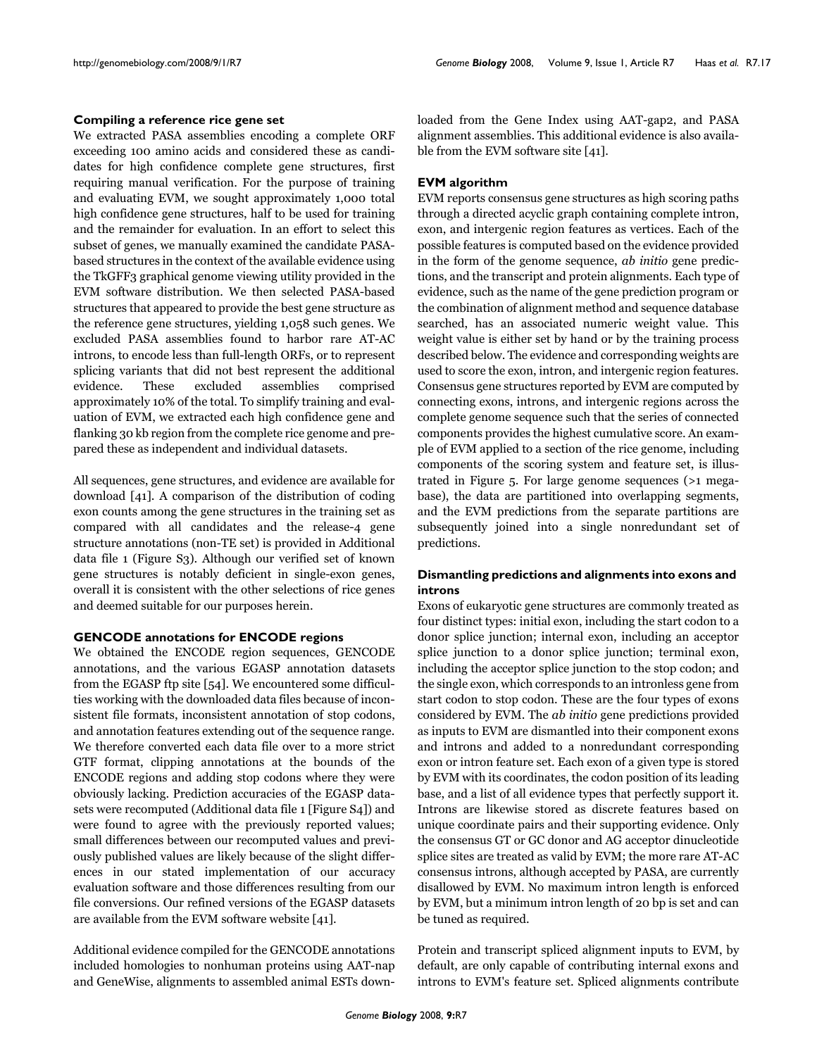### **Compiling a reference rice gene set**

We extracted PASA assemblies encoding a complete ORF exceeding 100 amino acids and considered these as candidates for high confidence complete gene structures, first requiring manual verification. For the purpose of training and evaluating EVM, we sought approximately 1,000 total high confidence gene structures, half to be used for training and the remainder for evaluation. In an effort to select this subset of genes, we manually examined the candidate PASAbased structures in the context of the available evidence using the TkGFF3 graphical genome viewing utility provided in the EVM software distribution. We then selected PASA-based structures that appeared to provide the best gene structure as the reference gene structures, yielding 1,058 such genes. We excluded PASA assemblies found to harbor rare AT-AC introns, to encode less than full-length ORFs, or to represent splicing variants that did not best represent the additional evidence. These excluded assemblies comprised approximately 10% of the total. To simplify training and evaluation of EVM, we extracted each high confidence gene and flanking 30 kb region from the complete rice genome and prepared these as independent and individual datasets.

All sequences, gene structures, and evidence are available for download [41]. A comparison of the distribution of coding exon counts among the gene structures in the training set as compared with all candidates and the release-4 gene structure annotations (non-TE set) is provided in Additional data file 1 (Figure S3). Although our verified set of known gene structures is notably deficient in single-exon genes, overall it is consistent with the other selections of rice genes and deemed suitable for our purposes herein.

## **GENCODE annotations for ENCODE regions**

We obtained the ENCODE region sequences, GENCODE annotations, and the various EGASP annotation datasets from the EGASP ftp site [54]. We encountered some difficulties working with the downloaded data files because of inconsistent file formats, inconsistent annotation of stop codons, and annotation features extending out of the sequence range. We therefore converted each data file over to a more strict GTF format, clipping annotations at the bounds of the ENCODE regions and adding stop codons where they were obviously lacking. Prediction accuracies of the EGASP datasets were recomputed (Additional data file 1 [Figure S4]) and were found to agree with the previously reported values; small differences between our recomputed values and previously published values are likely because of the slight differences in our stated implementation of our accuracy evaluation software and those differences resulting from our file conversions. Our refined versions of the EGASP datasets are available from the EVM software website [41].

Additional evidence compiled for the GENCODE annotations included homologies to nonhuman proteins using AAT-nap and GeneWise, alignments to assembled animal ESTs downloaded from the Gene Index using AAT-gap2, and PASA alignment assemblies. This additional evidence is also available from the EVM software site [41].

## **EVM algorithm**

EVM reports consensus gene structures as high scoring paths through a directed acyclic graph containing complete intron, exon, and intergenic region features as vertices. Each of the possible features is computed based on the evidence provided in the form of the genome sequence, *ab initio* gene predictions, and the transcript and protein alignments. Each type of evidence, such as the name of the gene prediction program or the combination of alignment method and sequence database searched, has an associated numeric weight value. This weight value is either set by hand or by the training process described below. The evidence and corresponding weights are used to score the exon, intron, and intergenic region features. Consensus gene structures reported by EVM are computed by connecting exons, introns, and intergenic regions across the complete genome sequence such that the series of connected components provides the highest cumulative score. An example of EVM applied to a section of the rice genome, including components of the scoring system and feature set, is illustrated in Figure [5.](#page-6-0) For large genome sequences (>1 megabase), the data are partitioned into overlapping segments, and the EVM predictions from the separate partitions are subsequently joined into a single nonredundant set of predictions.

## **Dismantling predictions and alignments into exons and introns**

Exons of eukaryotic gene structures are commonly treated as four distinct types: initial exon, including the start codon to a donor splice junction; internal exon, including an acceptor splice junction to a donor splice junction; terminal exon, including the acceptor splice junction to the stop codon; and the single exon, which corresponds to an intronless gene from start codon to stop codon. These are the four types of exons considered by EVM. The *ab initio* gene predictions provided as inputs to EVM are dismantled into their component exons and introns and added to a nonredundant corresponding exon or intron feature set. Each exon of a given type is stored by EVM with its coordinates, the codon position of its leading base, and a list of all evidence types that perfectly support it. Introns are likewise stored as discrete features based on unique coordinate pairs and their supporting evidence. Only the consensus GT or GC donor and AG acceptor dinucleotide splice sites are treated as valid by EVM; the more rare AT-AC consensus introns, although accepted by PASA, are currently disallowed by EVM. No maximum intron length is enforced by EVM, but a minimum intron length of 20 bp is set and can be tuned as required.

Protein and transcript spliced alignment inputs to EVM, by default, are only capable of contributing internal exons and introns to EVM's feature set. Spliced alignments contribute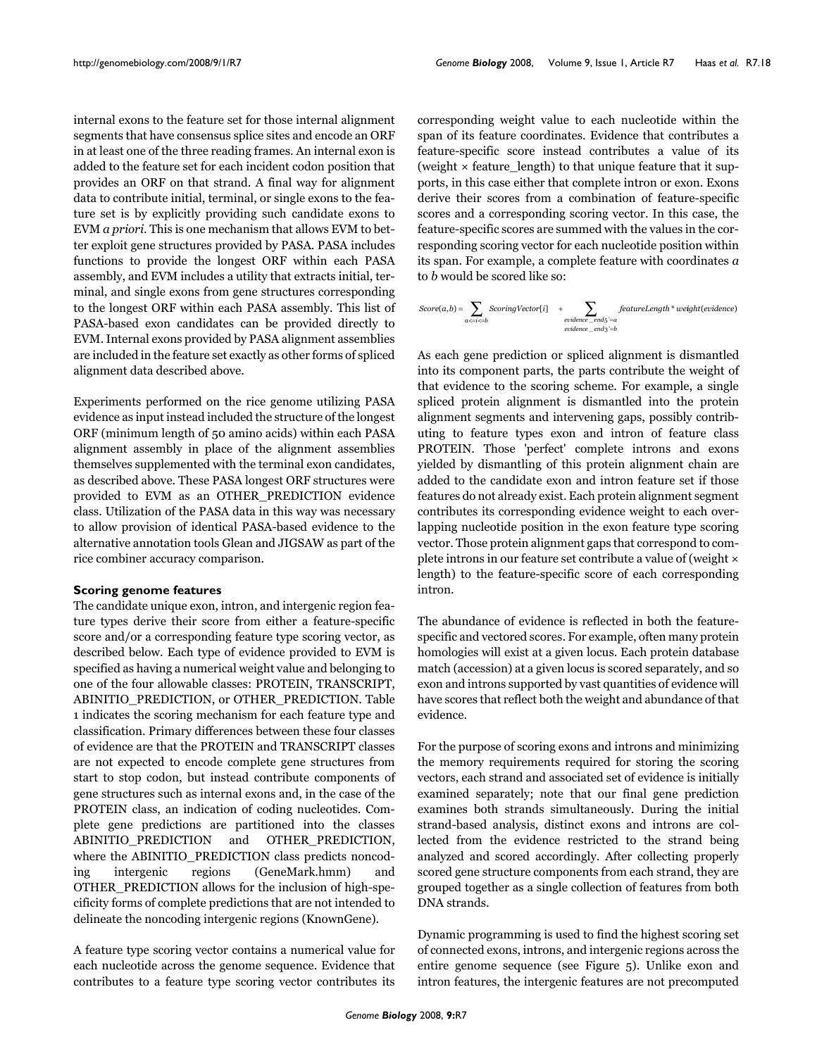internal exons to the feature set for those internal alignment segments that have consensus splice sites and encode an ORF in at least one of the three reading frames. An internal exon is added to the feature set for each incident codon position that provides an ORF on that strand. A final way for alignment data to contribute initial, terminal, or single exons to the feature set is by explicitly providing such candidate exons to EVM *a priori*. This is one mechanism that allows EVM to better exploit gene structures provided by PASA. PASA includes functions to provide the longest ORF within each PASA assembly, and EVM includes a utility that extracts initial, terminal, and single exons from gene structures corresponding to the longest ORF within each PASA assembly. This list of PASA-based exon candidates can be provided directly to EVM. Internal exons provided by PASA alignment assemblies are included in the feature set exactly as other forms of spliced alignment data described above.

Experiments performed on the rice genome utilizing PASA evidence as input instead included the structure of the longest ORF (minimum length of 50 amino acids) within each PASA alignment assembly in place of the alignment assemblies themselves supplemented with the terminal exon candidates, as described above. These PASA longest ORF structures were provided to EVM as an OTHER\_PREDICTION evidence class. Utilization of the PASA data in this way was necessary to allow provision of identical PASA-based evidence to the alternative annotation tools Glean and JIGSAW as part of the rice combiner accuracy comparison.

#### **Scoring genome features**

The candidate unique exon, intron, and intergenic region feature types derive their score from either a feature-specific score and/or a corresponding feature type scoring vector, as described below. Each type of evidence provided to EVM is specified as having a numerical weight value and belonging to one of the four allowable classes: PROTEIN, TRANSCRIPT, ABINITIO\_PREDICTION, or OTHER\_PREDICTION. Table 1 indicates the scoring mechanism for each feature type and classification. Primary differences between these four classes of evidence are that the PROTEIN and TRANSCRIPT classes are not expected to encode complete gene structures from start to stop codon, but instead contribute components of gene structures such as internal exons and, in the case of the PROTEIN class, an indication of coding nucleotides. Complete gene predictions are partitioned into the classes ABINITIO\_PREDICTION and OTHER\_PREDICTION, where the ABINITIO\_PREDICTION class predicts noncoding intergenic regions (GeneMark.hmm) and OTHER\_PREDICTION allows for the inclusion of high-specificity forms of complete predictions that are not intended to delineate the noncoding intergenic regions (KnownGene).

A feature type scoring vector contains a numerical value for each nucleotide across the genome sequence. Evidence that contributes to a feature type scoring vector contributes its

corresponding weight value to each nucleotide within the span of its feature coordinates. Evidence that contributes a feature-specific score instead contributes a value of its (weight × feature\_length) to that unique feature that it supports, in this case either that complete intron or exon. Exons derive their scores from a combination of feature-specific scores and a corresponding scoring vector. In this case, the feature-specific scores are summed with the values in the corresponding scoring vector for each nucleotide position within its span. For example, a complete feature with coordinates *a* to *b* would be scored like so:

$$
Score(a,b) = \sum_{a<=i<=b} scoringVector[i] \\ \hspace*{1.5em} + \sum_{\substack{evidence\_ends'=a\\evidence\_ends'=b}} featureLength * weight(evidence)
$$

As each gene prediction or spliced alignment is dismantled into its component parts, the parts contribute the weight of that evidence to the scoring scheme. For example, a single spliced protein alignment is dismantled into the protein alignment segments and intervening gaps, possibly contributing to feature types exon and intron of feature class PROTEIN. Those 'perfect' complete introns and exons yielded by dismantling of this protein alignment chain are added to the candidate exon and intron feature set if those features do not already exist. Each protein alignment segment contributes its corresponding evidence weight to each overlapping nucleotide position in the exon feature type scoring vector. Those protein alignment gaps that correspond to complete introns in our feature set contribute a value of (weight × length) to the feature-specific score of each corresponding intron.

The abundance of evidence is reflected in both the featurespecific and vectored scores. For example, often many protein homologies will exist at a given locus. Each protein database match (accession) at a given locus is scored separately, and so exon and introns supported by vast quantities of evidence will have scores that reflect both the weight and abundance of that evidence.

For the purpose of scoring exons and introns and minimizing the memory requirements required for storing the scoring vectors, each strand and associated set of evidence is initially examined separately; note that our final gene prediction examines both strands simultaneously. During the initial strand-based analysis, distinct exons and introns are collected from the evidence restricted to the strand being analyzed and scored accordingly. After collecting properly scored gene structure components from each strand, they are grouped together as a single collection of features from both DNA strands.

Dynamic programming is used to find the highest scoring set of connected exons, introns, and intergenic regions across the entire genome sequence (see Figure [5\)](#page-6-0). Unlike exon and intron features, the intergenic features are not precomputed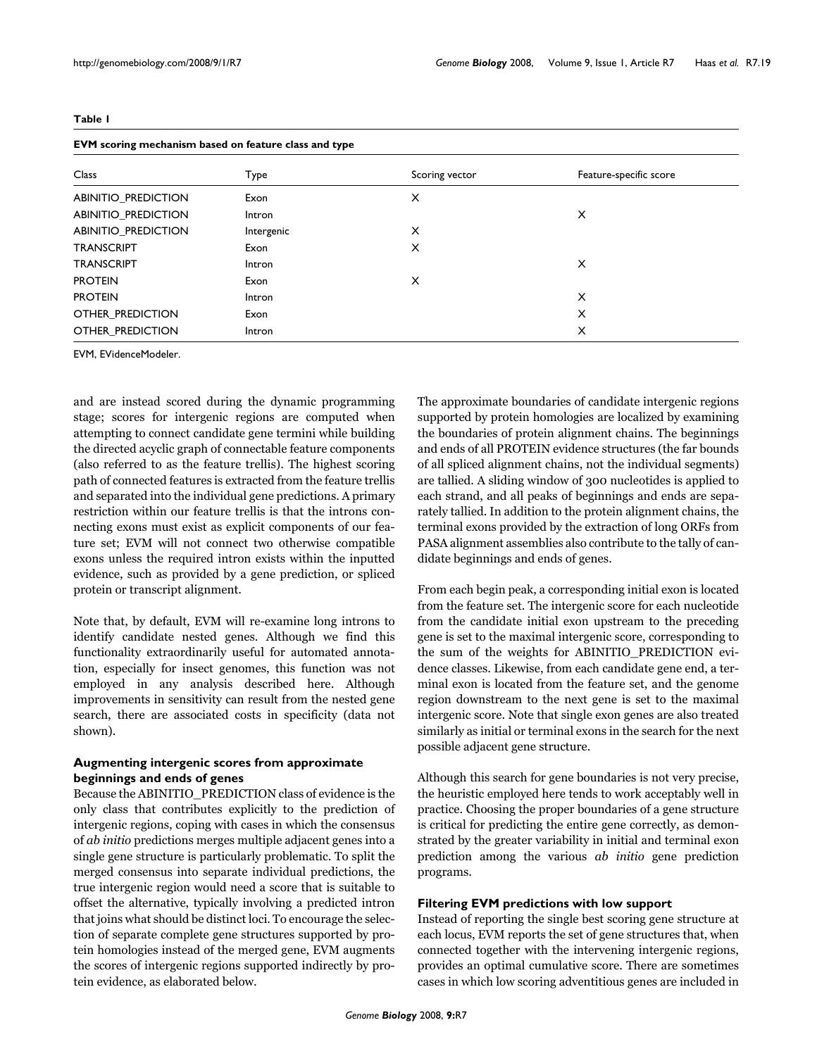| EVM scoring mechanism based on feature class and type |               |                |                        |
|-------------------------------------------------------|---------------|----------------|------------------------|
| Class                                                 | Type          | Scoring vector | Feature-specific score |
| ABINITIO_PREDICTION                                   | Exon          | X              |                        |
| ABINITIO PREDICTION                                   | Intron        |                | X                      |
| ABINITIO_PREDICTION                                   | Intergenic    | X              |                        |
| <b>TRANSCRIPT</b>                                     | Exon          | X              |                        |
| <b>TRANSCRIPT</b>                                     | <b>Intron</b> |                | X                      |
| <b>PROTEIN</b>                                        | Exon          | X              |                        |
| <b>PROTEIN</b>                                        | Intron        |                | x                      |
| OTHER PREDICTION                                      | Exon          |                | X                      |
| OTHER PREDICTION                                      | Intron        |                | X                      |

#### **Table 1**

EVM, EVidenceModeler.

and are instead scored during the dynamic programming stage; scores for intergenic regions are computed when attempting to connect candidate gene termini while building the directed acyclic graph of connectable feature components (also referred to as the feature trellis). The highest scoring path of connected features is extracted from the feature trellis and separated into the individual gene predictions. A primary restriction within our feature trellis is that the introns connecting exons must exist as explicit components of our feature set; EVM will not connect two otherwise compatible exons unless the required intron exists within the inputted evidence, such as provided by a gene prediction, or spliced protein or transcript alignment.

Note that, by default, EVM will re-examine long introns to identify candidate nested genes. Although we find this functionality extraordinarily useful for automated annotation, especially for insect genomes, this function was not employed in any analysis described here. Although improvements in sensitivity can result from the nested gene search, there are associated costs in specificity (data not shown).

## **Augmenting intergenic scores from approximate beginnings and ends of genes**

Because the ABINITIO\_PREDICTION class of evidence is the only class that contributes explicitly to the prediction of intergenic regions, coping with cases in which the consensus of *ab initio* predictions merges multiple adjacent genes into a single gene structure is particularly problematic. To split the merged consensus into separate individual predictions, the true intergenic region would need a score that is suitable to offset the alternative, typically involving a predicted intron that joins what should be distinct loci. To encourage the selection of separate complete gene structures supported by protein homologies instead of the merged gene, EVM augments the scores of intergenic regions supported indirectly by protein evidence, as elaborated below.

The approximate boundaries of candidate intergenic regions supported by protein homologies are localized by examining the boundaries of protein alignment chains. The beginnings and ends of all PROTEIN evidence structures (the far bounds of all spliced alignment chains, not the individual segments) are tallied. A sliding window of 300 nucleotides is applied to each strand, and all peaks of beginnings and ends are separately tallied. In addition to the protein alignment chains, the terminal exons provided by the extraction of long ORFs from PASA alignment assemblies also contribute to the tally of candidate beginnings and ends of genes.

From each begin peak, a corresponding initial exon is located from the feature set. The intergenic score for each nucleotide from the candidate initial exon upstream to the preceding gene is set to the maximal intergenic score, corresponding to the sum of the weights for ABINITIO\_PREDICTION evidence classes. Likewise, from each candidate gene end, a terminal exon is located from the feature set, and the genome region downstream to the next gene is set to the maximal intergenic score. Note that single exon genes are also treated similarly as initial or terminal exons in the search for the next possible adjacent gene structure.

Although this search for gene boundaries is not very precise, the heuristic employed here tends to work acceptably well in practice. Choosing the proper boundaries of a gene structure is critical for predicting the entire gene correctly, as demonstrated by the greater variability in initial and terminal exon prediction among the various *ab initio* gene prediction programs.

## **Filtering EVM predictions with low support**

Instead of reporting the single best scoring gene structure at each locus, EVM reports the set of gene structures that, when connected together with the intervening intergenic regions, provides an optimal cumulative score. There are sometimes cases in which low scoring adventitious genes are included in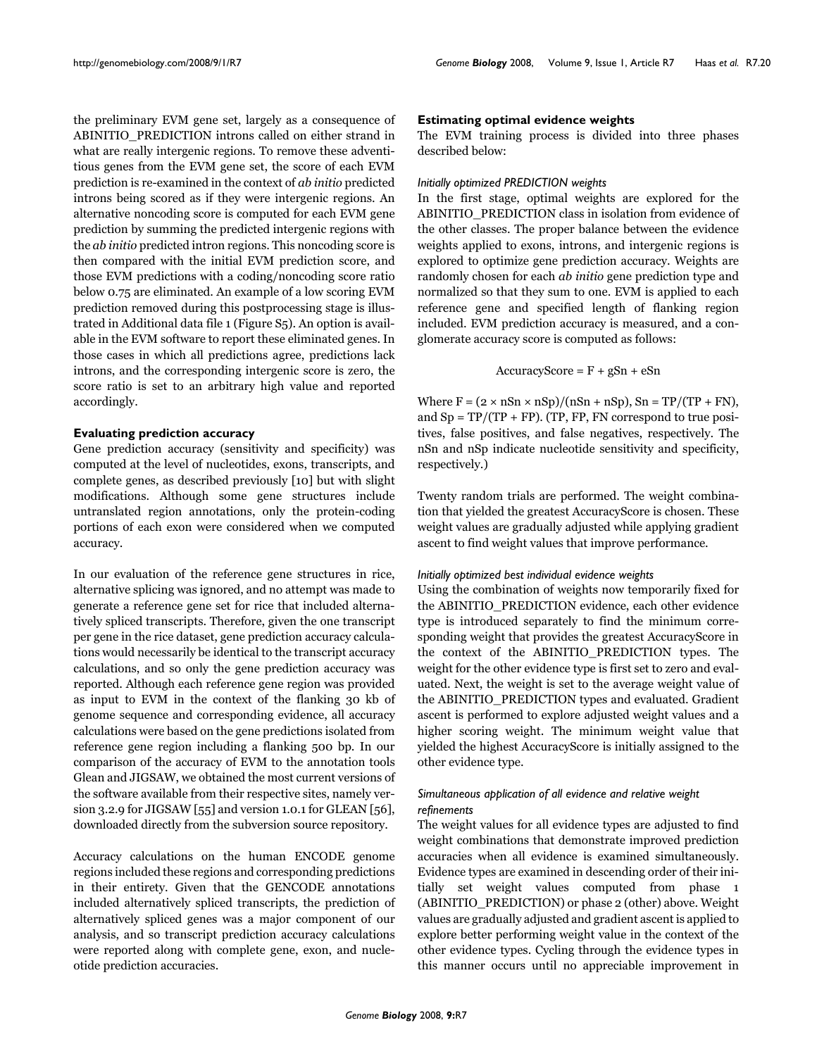the preliminary EVM gene set, largely as a consequence of ABINITIO\_PREDICTION introns called on either strand in what are really intergenic regions. To remove these adventitious genes from the EVM gene set, the score of each EVM prediction is re-examined in the context of *ab initio* predicted introns being scored as if they were intergenic regions. An alternative noncoding score is computed for each EVM gene prediction by summing the predicted intergenic regions with the *ab initio* predicted intron regions. This noncoding score is then compared with the initial EVM prediction score, and those EVM predictions with a coding/noncoding score ratio below 0.75 are eliminated. An example of a low scoring EVM prediction removed during this postprocessing stage is illustrated in Additional data file 1 (Figure S5). An option is available in the EVM software to report these eliminated genes. In those cases in which all predictions agree, predictions lack introns, and the corresponding intergenic score is zero, the score ratio is set to an arbitrary high value and reported accordingly.

## **Evaluating prediction accuracy**

Gene prediction accuracy (sensitivity and specificity) was computed at the level of nucleotides, exons, transcripts, and complete genes, as described previously [10] but with slight modifications. Although some gene structures include untranslated region annotations, only the protein-coding portions of each exon were considered when we computed accuracy.

In our evaluation of the reference gene structures in rice, alternative splicing was ignored, and no attempt was made to generate a reference gene set for rice that included alternatively spliced transcripts. Therefore, given the one transcript per gene in the rice dataset, gene prediction accuracy calculations would necessarily be identical to the transcript accuracy calculations, and so only the gene prediction accuracy was reported. Although each reference gene region was provided as input to EVM in the context of the flanking 30 kb of genome sequence and corresponding evidence, all accuracy calculations were based on the gene predictions isolated from reference gene region including a flanking 500 bp. In our comparison of the accuracy of EVM to the annotation tools Glean and JIGSAW, we obtained the most current versions of the software available from their respective sites, namely version 3.2.9 for JIGSAW [55] and version 1.0.1 for GLEAN [56], downloaded directly from the subversion source repository.

Accuracy calculations on the human ENCODE genome regions included these regions and corresponding predictions in their entirety. Given that the GENCODE annotations included alternatively spliced transcripts, the prediction of alternatively spliced genes was a major component of our analysis, and so transcript prediction accuracy calculations were reported along with complete gene, exon, and nucleotide prediction accuracies.

## **Estimating optimal evidence weights**

The EVM training process is divided into three phases described below:

## *Initially optimized PREDICTION weights*

In the first stage, optimal weights are explored for the ABINITIO\_PREDICTION class in isolation from evidence of the other classes. The proper balance between the evidence weights applied to exons, introns, and intergenic regions is explored to optimize gene prediction accuracy. Weights are randomly chosen for each *ab initio* gene prediction type and normalized so that they sum to one. EVM is applied to each reference gene and specified length of flanking region included. EVM prediction accuracy is measured, and a conglomerate accuracy score is computed as follows:

$$
AccuracyScore = F + gSn + eSn
$$

Where  $F = (2 \times nSn \times nSp)/(nSn + nSp)$ ,  $Sn = TP/(TP + FN)$ , and  $Sp = TP/(TP + FP)$ . (TP, FP, FN correspond to true positives, false positives, and false negatives, respectively. The nSn and nSp indicate nucleotide sensitivity and specificity, respectively.)

Twenty random trials are performed. The weight combination that yielded the greatest AccuracyScore is chosen. These weight values are gradually adjusted while applying gradient ascent to find weight values that improve performance.

## *Initially optimized best individual evidence weights*

Using the combination of weights now temporarily fixed for the ABINITIO\_PREDICTION evidence, each other evidence type is introduced separately to find the minimum corresponding weight that provides the greatest AccuracyScore in the context of the ABINITIO\_PREDICTION types. The weight for the other evidence type is first set to zero and evaluated. Next, the weight is set to the average weight value of the ABINITIO\_PREDICTION types and evaluated. Gradient ascent is performed to explore adjusted weight values and a higher scoring weight. The minimum weight value that yielded the highest AccuracyScore is initially assigned to the other evidence type.

## *Simultaneous application of all evidence and relative weight refinements*

The weight values for all evidence types are adjusted to find weight combinations that demonstrate improved prediction accuracies when all evidence is examined simultaneously. Evidence types are examined in descending order of their initially set weight values computed from phase 1 (ABINITIO\_PREDICTION) or phase 2 (other) above. Weight values are gradually adjusted and gradient ascent is applied to explore better performing weight value in the context of the other evidence types. Cycling through the evidence types in this manner occurs until no appreciable improvement in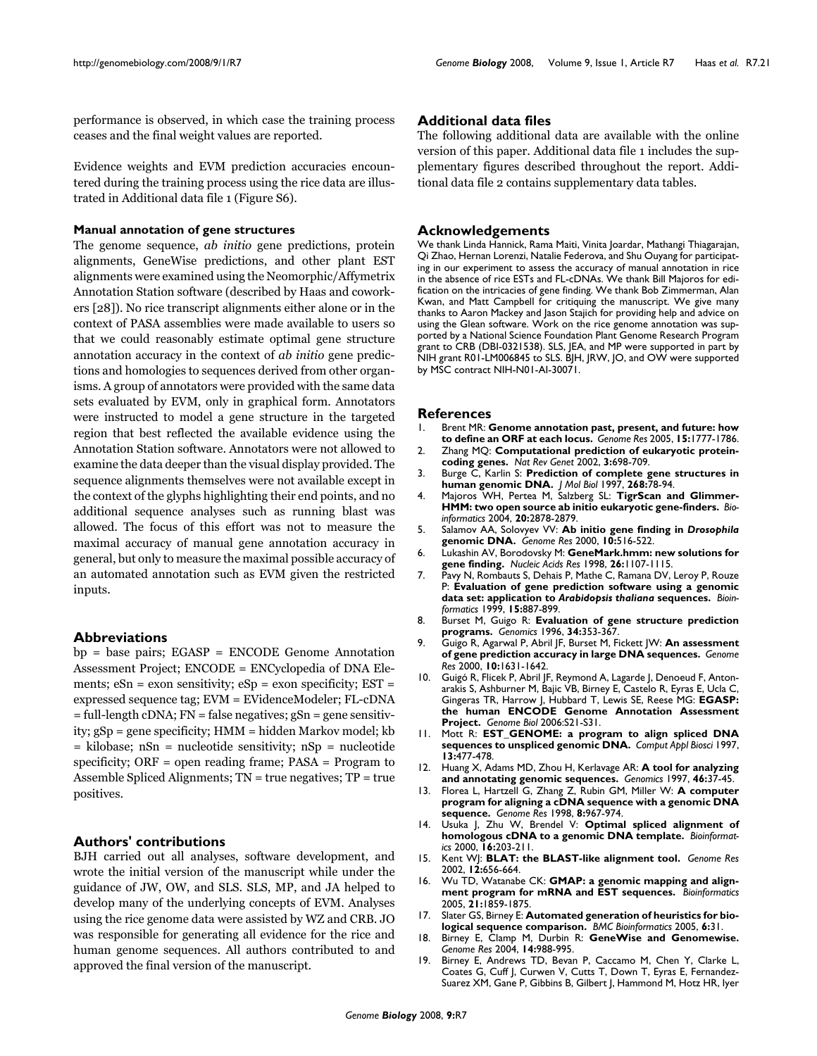performance is observed, in which case the training process ceases and the final weight values are reported.

Evidence weights and EVM prediction accuracies encountered during the training process using the rice data are illustrated in Additional data file 1 (Figure S6).

#### **Manual annotation of gene structures**

The genome sequence, *ab initio* gene predictions, protein alignments, GeneWise predictions, and other plant EST alignments were examined using the Neomorphic/Affymetrix Annotation Station software (described by Haas and coworkers [28]). No rice transcript alignments either alone or in the context of PASA assemblies were made available to users so that we could reasonably estimate optimal gene structure annotation accuracy in the context of *ab initio* gene predictions and homologies to sequences derived from other organisms. A group of annotators were provided with the same data sets evaluated by EVM, only in graphical form. Annotators were instructed to model a gene structure in the targeted region that best reflected the available evidence using the Annotation Station software. Annotators were not allowed to examine the data deeper than the visual display provided. The sequence alignments themselves were not available except in the context of the glyphs highlighting their end points, and no additional sequence analyses such as running blast was allowed. The focus of this effort was not to measure the maximal accuracy of manual gene annotation accuracy in general, but only to measure the maximal possible accuracy of an automated annotation such as EVM given the restricted inputs.

#### **Abbreviations**

bp = base pairs; EGASP = ENCODE Genome Annotation Assessment Project; ENCODE = ENCyclopedia of DNA Elements; eSn = exon sensitivity; eSp = exon specificity; EST = expressed sequence tag; EVM = EVidenceModeler; FL-cDNA  $=$  full-length cDNA; FN  $=$  false negatives; gSn  $=$  gene sensitivity; gSp = gene specificity; HMM = hidden Markov model; kb = kilobase; nSn = nucleotide sensitivity; nSp = nucleotide specificity; ORF = open reading frame; PASA = Program to Assemble Spliced Alignments; TN = true negatives; TP = true positives.

## **Authors' contributions**

BJH carried out all analyses, software development, and wrote the initial version of the manuscript while under the guidance of JW, OW, and SLS. SLS, MP, and JA helped to develop many of the underlying concepts of EVM. Analyses using the rice genome data were assisted by WZ and CRB. JO was responsible for generating all evidence for the rice and human genome sequences. All authors contributed to and approved the final version of the manuscript.

## **Additional data files**

The following additional data are available with the online version of this paper. Additional data file 1 includes the supplementary figures described throughout the report. Additional data file 2 contains supplementary data tables.

#### **Acknowledgements**

We thank Linda Hannick, Rama Maiti, Vinita Joardar, Mathangi Thiagarajan, Qi Zhao, Hernan Lorenzi, Natalie Federova, and Shu Ouyang for participating in our experiment to assess the accuracy of manual annotation in rice in the absence of rice ESTs and FL-cDNAs. We thank Bill Majoros for edification on the intricacies of gene finding. We thank Bob Zimmerman, Alan Kwan, and Matt Campbell for critiquing the manuscript. We give many thanks to Aaron Mackey and Jason Stajich for providing help and advice on using the Glean software. Work on the rice genome annotation was supported by a National Science Foundation Plant Genome Research Program grant to CRB (DBI-0321538). SLS, JEA, and MP were supported in part by NIH grant R01-LM006845 to SLS. BJH, JRW, JO, and OW were supported by MSC contract NIH-N01-AI-30071.

#### **References**

- 1. Brent MR: **[Genome annotation past, present, and future: how](http://www.ncbi.nlm.nih.gov/entrez/query.fcgi?cmd=Retrieve&db=PubMed&dopt=Abstract&list_uids=16339376) [to define an ORF at each locus.](http://www.ncbi.nlm.nih.gov/entrez/query.fcgi?cmd=Retrieve&db=PubMed&dopt=Abstract&list_uids=16339376)** *Genome Res* 2005, **15:**1777-1786.
- 2. Zhang MQ: **[Computational prediction of eukaryotic protein](http://www.ncbi.nlm.nih.gov/entrez/query.fcgi?cmd=Retrieve&db=PubMed&dopt=Abstract&list_uids=12209144)[coding genes.](http://www.ncbi.nlm.nih.gov/entrez/query.fcgi?cmd=Retrieve&db=PubMed&dopt=Abstract&list_uids=12209144)** *Nat Rev Genet* 2002, **3:**698-709.
- 3. Burge C, Karlin S: **[Prediction of complete gene structures in](http://www.ncbi.nlm.nih.gov/entrez/query.fcgi?cmd=Retrieve&db=PubMed&dopt=Abstract&list_uids=9149143) [human genomic DNA.](http://www.ncbi.nlm.nih.gov/entrez/query.fcgi?cmd=Retrieve&db=PubMed&dopt=Abstract&list_uids=9149143)** *J Mol Biol* 1997, **268:**78-94.
- 4. Majoros WH, Pertea M, Salzberg SL: **[TigrScan and Glimmer-](http://www.ncbi.nlm.nih.gov/entrez/query.fcgi?cmd=Retrieve&db=PubMed&dopt=Abstract&list_uids=15145805)[HMM: two open source ab initio eukaryotic gene-finders.](http://www.ncbi.nlm.nih.gov/entrez/query.fcgi?cmd=Retrieve&db=PubMed&dopt=Abstract&list_uids=15145805)** *Bioinformatics* 2004, **20:**2878-2879.
- 5. Salamov AA, Solovyev VV: **Ab initio gene finding in** *Drosophila* **[genomic DNA.](http://www.ncbi.nlm.nih.gov/entrez/query.fcgi?cmd=Retrieve&db=PubMed&dopt=Abstract&list_uids=10779491)** *Genome Res* 2000, **10:**516-522.
- 6. Lukashin AV, Borodovsky M: **[GeneMark.hmm: new solutions for](http://www.ncbi.nlm.nih.gov/entrez/query.fcgi?cmd=Retrieve&db=PubMed&dopt=Abstract&list_uids=9461475) [gene finding.](http://www.ncbi.nlm.nih.gov/entrez/query.fcgi?cmd=Retrieve&db=PubMed&dopt=Abstract&list_uids=9461475)** *Nucleic Acids Res* 1998, **26:**1107-1115.
- 7. Pavy N, Rombauts S, Dehais P, Mathe C, Ramana DV, Leroy P, Rouze P: **Evaluation of gene prediction software using a genomic data set: application to** *Arabidopsis thaliana* **[sequences.](http://www.ncbi.nlm.nih.gov/entrez/query.fcgi?cmd=Retrieve&db=PubMed&dopt=Abstract&list_uids=10743555)** *Bioinformatics* 1999, **15:**887-899.
- 8. Burset M, Guigo R: **[Evaluation of gene structure prediction](http://www.ncbi.nlm.nih.gov/entrez/query.fcgi?cmd=Retrieve&db=PubMed&dopt=Abstract&list_uids=8786136) [programs.](http://www.ncbi.nlm.nih.gov/entrez/query.fcgi?cmd=Retrieve&db=PubMed&dopt=Abstract&list_uids=8786136)** *Genomics* 1996, **34:**353-367.
- 9. Guigo R, Agarwal P, Abril JF, Burset M, Fickett JW: **[An assessment](http://www.ncbi.nlm.nih.gov/entrez/query.fcgi?cmd=Retrieve&db=PubMed&dopt=Abstract&list_uids=11042160) [of gene prediction accuracy in large DNA sequences.](http://www.ncbi.nlm.nih.gov/entrez/query.fcgi?cmd=Retrieve&db=PubMed&dopt=Abstract&list_uids=11042160)** *Genome Res* 2000, **10:**1631-1642.
- 10. Guigó R, Flicek P, Abril JF, Reymond A, Lagarde J, Denoeud F, Antonarakis S, Ashburner M, Bajic VB, Birney E, Castelo R, Eyras E, Ucla C, Gingeras TR, Harrow J, Hubbard T, Lewis SE, Reese MG: **EGASP: the human ENCODE Genome Annotation Assessment Project.** *Genome Biol* 2006:S21-S31.
- 11. Mott R: **[EST\\_GENOME: a program to align spliced DNA](http://www.ncbi.nlm.nih.gov/entrez/query.fcgi?cmd=Retrieve&db=PubMed&dopt=Abstract&list_uids=9283765) [sequences to unspliced genomic DNA.](http://www.ncbi.nlm.nih.gov/entrez/query.fcgi?cmd=Retrieve&db=PubMed&dopt=Abstract&list_uids=9283765)** *Comput Appl Biosci* 1997, **13:**477-478.
- 12. Huang X, Adams MD, Zhou H, Kerlavage AR: **[A tool for analyzing](http://www.ncbi.nlm.nih.gov/entrez/query.fcgi?cmd=Retrieve&db=PubMed&dopt=Abstract&list_uids=9403056) [and annotating genomic sequences.](http://www.ncbi.nlm.nih.gov/entrez/query.fcgi?cmd=Retrieve&db=PubMed&dopt=Abstract&list_uids=9403056)** *Genomics* 1997, **46:**37-45.
- 13. Florea L, Hartzell G, Zhang Z, Rubin GM, Miller W: **[A computer](http://www.ncbi.nlm.nih.gov/entrez/query.fcgi?cmd=Retrieve&db=PubMed&dopt=Abstract&list_uids=9750195) [program for aligning a cDNA sequence with a genomic DNA](http://www.ncbi.nlm.nih.gov/entrez/query.fcgi?cmd=Retrieve&db=PubMed&dopt=Abstract&list_uids=9750195) [sequence.](http://www.ncbi.nlm.nih.gov/entrez/query.fcgi?cmd=Retrieve&db=PubMed&dopt=Abstract&list_uids=9750195)** *Genome Res* 1998, **8:**967-974.
- 14. Usuka J, Zhu W, Brendel V: **[Optimal spliced alignment of](http://www.ncbi.nlm.nih.gov/entrez/query.fcgi?cmd=Retrieve&db=PubMed&dopt=Abstract&list_uids=10869013) [homologous cDNA to a genomic DNA template.](http://www.ncbi.nlm.nih.gov/entrez/query.fcgi?cmd=Retrieve&db=PubMed&dopt=Abstract&list_uids=10869013)** *Bioinformatics* 2000, **16:**203-211.
- 15. Kent WJ: **[BLAT: the BLAST-like alignment tool.](http://www.ncbi.nlm.nih.gov/entrez/query.fcgi?cmd=Retrieve&db=PubMed&dopt=Abstract&list_uids=11932250)** *Genome Res* 2002, **12:**656-664.
- 16. Wu TD, Watanabe CK: **[GMAP: a genomic mapping and align](http://www.ncbi.nlm.nih.gov/entrez/query.fcgi?cmd=Retrieve&db=PubMed&dopt=Abstract&list_uids=15728110)[ment program for mRNA and EST sequences.](http://www.ncbi.nlm.nih.gov/entrez/query.fcgi?cmd=Retrieve&db=PubMed&dopt=Abstract&list_uids=15728110)** *Bioinformatics* 2005, **21:**1859-1875.
- 17. Slater GS, Birney E: **[Automated generation of heuristics for bio](http://www.ncbi.nlm.nih.gov/entrez/query.fcgi?cmd=Retrieve&db=PubMed&dopt=Abstract&list_uids=15713233)[logical sequence comparison.](http://www.ncbi.nlm.nih.gov/entrez/query.fcgi?cmd=Retrieve&db=PubMed&dopt=Abstract&list_uids=15713233)** *BMC Bioinformatics* 2005, **6:**31.
- 18. Birney E, Clamp M, Durbin R: **[GeneWise and Genomewise.](http://www.ncbi.nlm.nih.gov/entrez/query.fcgi?cmd=Retrieve&db=PubMed&dopt=Abstract&list_uids=15123596)** *Genome Res* 2004, **14:**988-995.
- 19. Birney E, Andrews TD, Bevan P, Caccamo M, Chen Y, Clarke L, Coates G, Cuff J, Curwen V, Cutts T, Down T, Eyras E, Fernandez-Suarez XM, Gane P, Gibbins B, Gilbert J, Hammond M, Hotz HR, Iyer